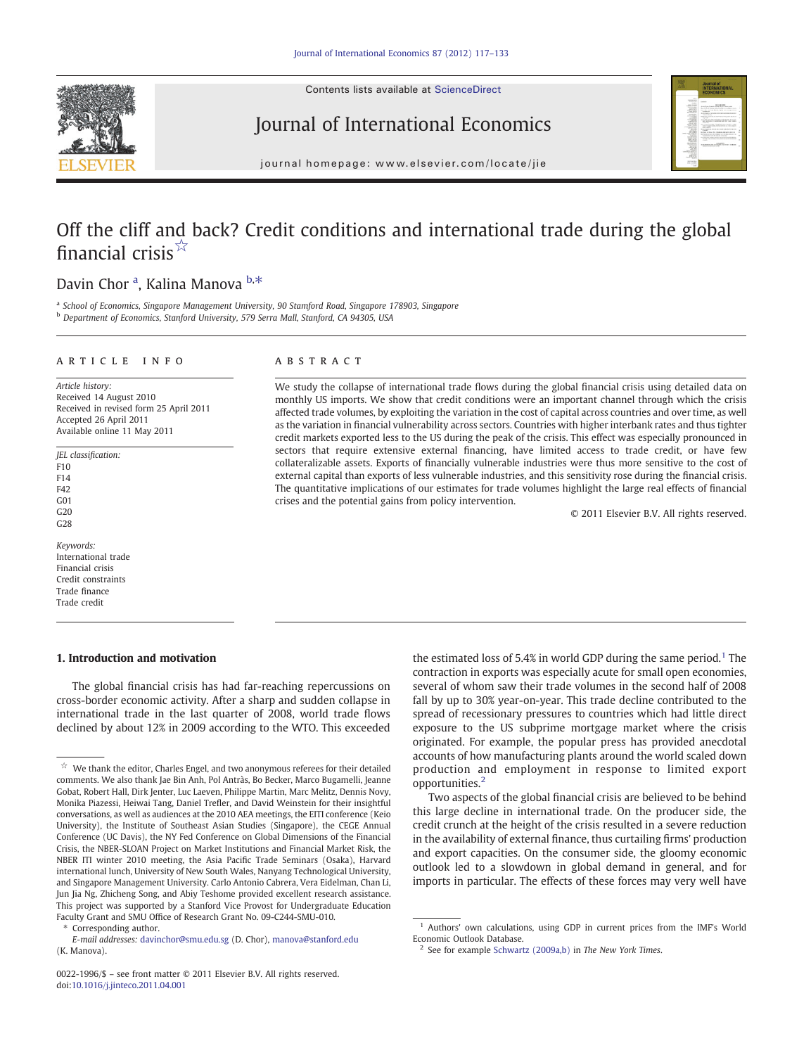

Contents lists available at ScienceDirect

## Journal of International Economics



journal homepage: www.elsevier.com/locate/jie

# Off the cliff and back? Credit conditions and international trade during the global financial crisis<sup>☆</sup>

## Davin Chor <sup>a</sup>, Kalina Manova <sup>b,\*</sup>

<sup>a</sup> School of Economics, Singapore Management University, 90 Stamford Road, Singapore 178903, Singapore <sup>b</sup> Department of Economics, Stanford University, 579 Serra Mall, Stanford, CA 94305, USA

#### article info abstract

Article history: Received 14 August 2010 Received in revised form 25 April 2011 Accepted 26 April 2011 Available online 11 May 2011

IEL classification: F10 F14 F42 G01  $G20$ G28

Keywords: International trade Financial crisis Credit constraints Trade finance Trade credit

#### 1. Introduction and motivation

The global financial crisis has had far-reaching repercussions on cross-border economic activity. After a sharp and sudden collapse in international trade in the last quarter of 2008, world trade flows declined by about 12% in 2009 according to the WTO. This exceeded

Corresponding author.

We study the collapse of international trade flows during the global financial crisis using detailed data on monthly US imports. We show that credit conditions were an important channel through which the crisis affected trade volumes, by exploiting the variation in the cost of capital across countries and over time, as well as the variation in financial vulnerability across sectors. Countries with higher interbank rates and thus tighter credit markets exported less to the US during the peak of the crisis. This effect was especially pronounced in sectors that require extensive external financing, have limited access to trade credit, or have few collateralizable assets. Exports of financially vulnerable industries were thus more sensitive to the cost of external capital than exports of less vulnerable industries, and this sensitivity rose during the financial crisis. The quantitative implications of our estimates for trade volumes highlight the large real effects of financial crises and the potential gains from policy intervention.

© 2011 Elsevier B.V. All rights reserved.

the estimated loss of 5.4% in world GDP during the same period.<sup>1</sup> The contraction in exports was especially acute for small open economies, several of whom saw their trade volumes in the second half of 2008 fall by up to 30% year-on-year. This trade decline contributed to the spread of recessionary pressures to countries which had little direct exposure to the US subprime mortgage market where the crisis originated. For example, the popular press has provided anecdotal accounts of how manufacturing plants around the world scaled down production and employment in response to limited export opportunities.<sup>2</sup>

Two aspects of the global financial crisis are believed to be behind this large decline in international trade. On the producer side, the credit crunch at the height of the crisis resulted in a severe reduction in the availability of external finance, thus curtailing firms' production and export capacities. On the consumer side, the gloomy economic outlook led to a slowdown in global demand in general, and for imports in particular. The effects of these forces may very well have

 $\mathbb{\vec{X}}$  We thank the editor, Charles Engel, and two anonymous referees for their detailed comments. We also thank Jae Bin Anh, Pol Antràs, Bo Becker, Marco Bugamelli, Jeanne Gobat, Robert Hall, Dirk Jenter, Luc Laeven, Philippe Martin, Marc Melitz, Dennis Novy, Monika Piazessi, Heiwai Tang, Daniel Trefler, and David Weinstein for their insightful conversations, as well as audiences at the 2010 AEA meetings, the EITI conference (Keio University), the Institute of Southeast Asian Studies (Singapore), the CEGE Annual Conference (UC Davis), the NY Fed Conference on Global Dimensions of the Financial Crisis, the NBER-SLOAN Project on Market Institutions and Financial Market Risk, the NBER ITI winter 2010 meeting, the Asia Pacific Trade Seminars (Osaka), Harvard international lunch, University of New South Wales, Nanyang Technological University, and Singapore Management University. Carlo Antonio Cabrera, Vera Eidelman, Chan Li, Jun Jia Ng, Zhicheng Song, and Abiy Teshome provided excellent research assistance. This project was supported by a Stanford Vice Provost for Undergraduate Education Faculty Grant and SMU Office of Research Grant No. 09-C244-SMU-010.

E-mail addresses: [davinchor@smu.edu.sg](mailto:davinchor@smu.edu.sg) (D. Chor), [manova@stanford.edu](mailto:manova@stanford.edu) (K. Manova).

<sup>0022-1996/\$</sup> – see front matter © 2011 Elsevier B.V. All rights reserved. doi:[10.1016/j.jinteco.2011.04.001](http://dx.doi.org/10.1016/j.jinteco.2011.04.001)

<sup>&</sup>lt;sup>1</sup> Authors' own calculations, using GDP in current prices from the IMF's World Economic Outlook Database.

<sup>&</sup>lt;sup>2</sup> See for example [Schwartz \(2009a,b\)](#page-16-0) in The New York Times.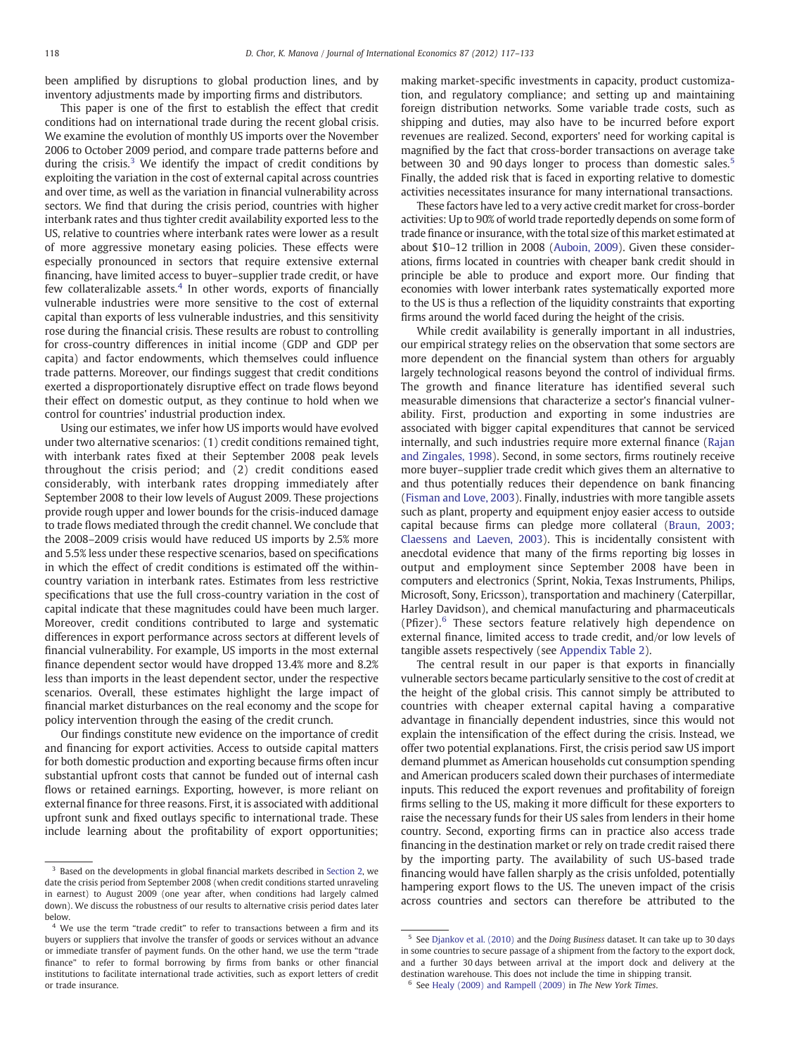been amplified by disruptions to global production lines, and by inventory adjustments made by importing firms and distributors.

This paper is one of the first to establish the effect that credit conditions had on international trade during the recent global crisis. We examine the evolution of monthly US imports over the November 2006 to October 2009 period, and compare trade patterns before and during the crisis. $3$  We identify the impact of credit conditions by exploiting the variation in the cost of external capital across countries and over time, as well as the variation in financial vulnerability across sectors. We find that during the crisis period, countries with higher interbank rates and thus tighter credit availability exported less to the US, relative to countries where interbank rates were lower as a result of more aggressive monetary easing policies. These effects were especially pronounced in sectors that require extensive external financing, have limited access to buyer–supplier trade credit, or have few collateralizable assets. $4$  In other words, exports of financially vulnerable industries were more sensitive to the cost of external capital than exports of less vulnerable industries, and this sensitivity rose during the financial crisis. These results are robust to controlling for cross-country differences in initial income (GDP and GDP per capita) and factor endowments, which themselves could influence trade patterns. Moreover, our findings suggest that credit conditions exerted a disproportionately disruptive effect on trade flows beyond their effect on domestic output, as they continue to hold when we control for countries' industrial production index.

Using our estimates, we infer how US imports would have evolved under two alternative scenarios: (1) credit conditions remained tight, with interbank rates fixed at their September 2008 peak levels throughout the crisis period; and (2) credit conditions eased considerably, with interbank rates dropping immediately after September 2008 to their low levels of August 2009. These projections provide rough upper and lower bounds for the crisis-induced damage to trade flows mediated through the credit channel. We conclude that the 2008–2009 crisis would have reduced US imports by 2.5% more and 5.5% less under these respective scenarios, based on specifications in which the effect of credit conditions is estimated off the withincountry variation in interbank rates. Estimates from less restrictive specifications that use the full cross-country variation in the cost of capital indicate that these magnitudes could have been much larger. Moreover, credit conditions contributed to large and systematic differences in export performance across sectors at different levels of financial vulnerability. For example, US imports in the most external finance dependent sector would have dropped 13.4% more and 8.2% less than imports in the least dependent sector, under the respective scenarios. Overall, these estimates highlight the large impact of financial market disturbances on the real economy and the scope for policy intervention through the easing of the credit crunch.

Our findings constitute new evidence on the importance of credit and financing for export activities. Access to outside capital matters for both domestic production and exporting because firms often incur substantial upfront costs that cannot be funded out of internal cash flows or retained earnings. Exporting, however, is more reliant on external finance for three reasons. First, it is associated with additional upfront sunk and fixed outlays specific to international trade. These include learning about the profitability of export opportunities; making market-specific investments in capacity, product customization, and regulatory compliance; and setting up and maintaining foreign distribution networks. Some variable trade costs, such as shipping and duties, may also have to be incurred before export revenues are realized. Second, exporters' need for working capital is magnified by the fact that cross-border transactions on average take between 30 and 90 days longer to process than domestic sales.<sup>5</sup> Finally, the added risk that is faced in exporting relative to domestic activities necessitates insurance for many international transactions.

These factors have led to a very active credit market for cross-border activities: Up to 90% of world trade reportedly depends on some form of trade finance or insurance, with the total size of this market estimated at about \$10–12 trillion in 2008 ([Auboin, 2009\)](#page-15-0). Given these considerations, firms located in countries with cheaper bank credit should in principle be able to produce and export more. Our finding that economies with lower interbank rates systematically exported more to the US is thus a reflection of the liquidity constraints that exporting firms around the world faced during the height of the crisis.

While credit availability is generally important in all industries, our empirical strategy relies on the observation that some sectors are more dependent on the financial system than others for arguably largely technological reasons beyond the control of individual firms. The growth and finance literature has identified several such measurable dimensions that characterize a sector's financial vulnerability. First, production and exporting in some industries are associated with bigger capital expenditures that cannot be serviced internally, and such industries require more external finance ([Rajan](#page-16-0) [and Zingales, 1998](#page-16-0)). Second, in some sectors, firms routinely receive more buyer–supplier trade credit which gives them an alternative to and thus potentially reduces their dependence on bank financing [\(Fisman and Love, 2003](#page-15-0)). Finally, industries with more tangible assets such as plant, property and equipment enjoy easier access to outside capital because firms can pledge more collateral [\(Braun, 2003;](#page-15-0) [Claessens and Laeven, 2003](#page-15-0)). This is incidentally consistent with anecdotal evidence that many of the firms reporting big losses in output and employment since September 2008 have been in computers and electronics (Sprint, Nokia, Texas Instruments, Philips, Microsoft, Sony, Ericsson), transportation and machinery (Caterpillar, Harley Davidson), and chemical manufacturing and pharmaceuticals (Pfizer). $6$  These sectors feature relatively high dependence on external finance, limited access to trade credit, and/or low levels of tangible assets respectively (see [Appendix Table 2](#page-15-0)).

The central result in our paper is that exports in financially vulnerable sectors became particularly sensitive to the cost of credit at the height of the global crisis. This cannot simply be attributed to countries with cheaper external capital having a comparative advantage in financially dependent industries, since this would not explain the intensification of the effect during the crisis. Instead, we offer two potential explanations. First, the crisis period saw US import demand plummet as American households cut consumption spending and American producers scaled down their purchases of intermediate inputs. This reduced the export revenues and profitability of foreign firms selling to the US, making it more difficult for these exporters to raise the necessary funds for their US sales from lenders in their home country. Second, exporting firms can in practice also access trade financing in the destination market or rely on trade credit raised there by the importing party. The availability of such US-based trade financing would have fallen sharply as the crisis unfolded, potentially hampering export flows to the US. The uneven impact of the crisis across countries and sectors can therefore be attributed to the

 $3$  Based on the developments in global financial markets described in [Section 2,](#page-2-0) we date the crisis period from September 2008 (when credit conditions started unraveling in earnest) to August 2009 (one year after, when conditions had largely calmed down). We discuss the robustness of our results to alternative crisis period dates later below.

<sup>&</sup>lt;sup>4</sup> We use the term "trade credit" to refer to transactions between a firm and its buyers or suppliers that involve the transfer of goods or services without an advance or immediate transfer of payment funds. On the other hand, we use the term "trade finance" to refer to formal borrowing by firms from banks or other financial institutions to facilitate international trade activities, such as export letters of credit or trade insurance.

 $5$  See [Djankov et al. \(2010\)](#page-15-0) and the Doing Business dataset. It can take up to 30 days in some countries to secure passage of a shipment from the factory to the export dock, and a further 30 days between arrival at the import dock and delivery at the destination warehouse. This does not include the time in shipping transit. See [Healy \(2009\) and Rampell \(2009\)](#page-16-0) in The New York Times.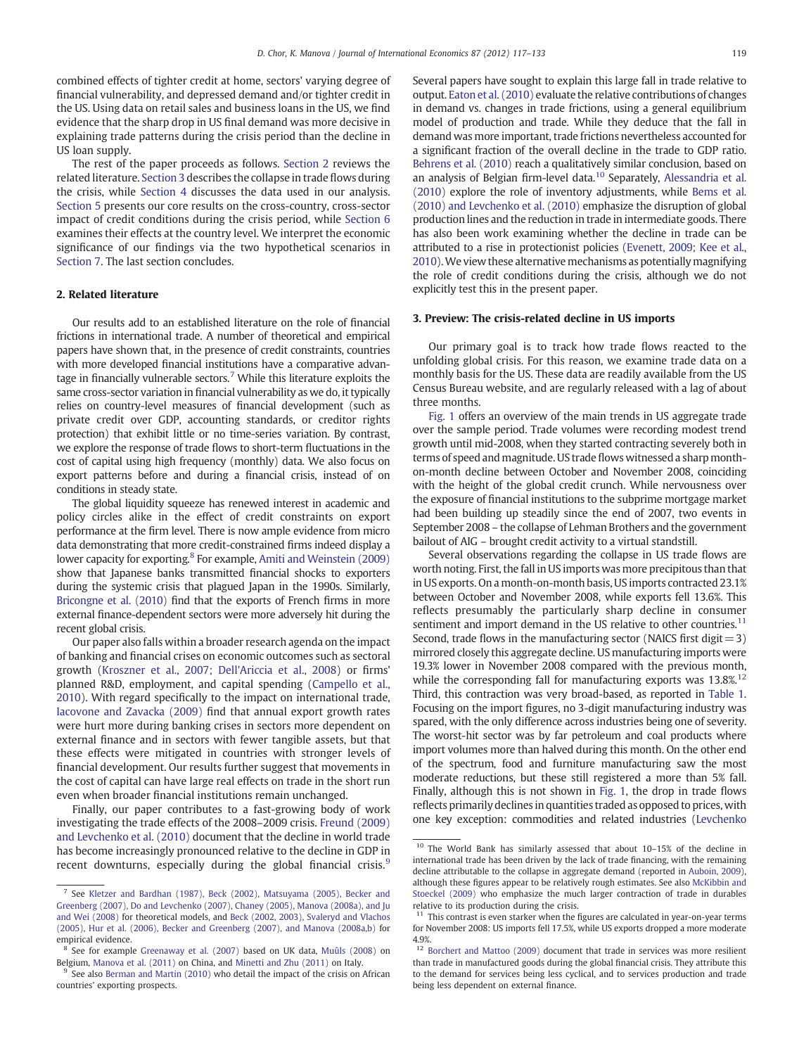<span id="page-2-0"></span>combined effects of tighter credit at home, sectors' varying degree of financial vulnerability, and depressed demand and/or tighter credit in the US. Using data on retail sales and business loans in the US, we find evidence that the sharp drop in US final demand was more decisive in explaining trade patterns during the crisis period than the decline in US loan supply.

The rest of the paper proceeds as follows. Section 2 reviews the related literature. Section 3 describes the collapse in trade flows during the crisis, while [Section 4](#page-3-0) discusses the data used in our analysis. [Section 5](#page-5-0) presents our core results on the cross-country, cross-sector impact of credit conditions during the crisis period, while [Section 6](#page-11-0) examines their effects at the country level. We interpret the economic significance of our findings via the two hypothetical scenarios in [Section 7.](#page-13-0) The last section concludes.

#### 2. Related literature

Our results add to an established literature on the role of financial frictions in international trade. A number of theoretical and empirical papers have shown that, in the presence of credit constraints, countries with more developed financial institutions have a comparative advantage in financially vulnerable sectors.<sup>7</sup> While this literature exploits the same cross-sector variation in financial vulnerability as we do, it typically relies on country-level measures of financial development (such as private credit over GDP, accounting standards, or creditor rights protection) that exhibit little or no time-series variation. By contrast, we explore the response of trade flows to short-term fluctuations in the cost of capital using high frequency (monthly) data. We also focus on export patterns before and during a financial crisis, instead of on conditions in steady state.

The global liquidity squeeze has renewed interest in academic and policy circles alike in the effect of credit constraints on export performance at the firm level. There is now ample evidence from micro data demonstrating that more credit-constrained firms indeed display a lower capacity for exporting.<sup>8</sup> For example, [Amiti and Weinstein \(2009\)](#page-15-0) show that Japanese banks transmitted financial shocks to exporters during the systemic crisis that plagued Japan in the 1990s. Similarly, [Bricongne et al. \(2010\)](#page-15-0) find that the exports of French firms in more external finance-dependent sectors were more adversely hit during the recent global crisis.

Our paper also falls within a broader research agenda on the impact of banking and financial crises on economic outcomes such as sectoral growth ([Kroszner et al., 2007; Dell'Ariccia et al., 2008](#page-16-0)) or firms' planned R&D, employment, and capital spending ([Campello et al.,](#page-15-0) [2010\)](#page-15-0). With regard specifically to the impact on international trade, [Iacovone and Zavacka \(2009\)](#page-16-0) find that annual export growth rates were hurt more during banking crises in sectors more dependent on external finance and in sectors with fewer tangible assets, but that these effects were mitigated in countries with stronger levels of financial development. Our results further suggest that movements in the cost of capital can have large real effects on trade in the short run even when broader financial institutions remain unchanged.

Finally, our paper contributes to a fast-growing body of work investigating the trade effects of the 2008–2009 crisis. [Freund \(2009\)](#page-15-0) [and Levchenko et al. \(2010\)](#page-15-0) document that the decline in world trade has become increasingly pronounced relative to the decline in GDP in recent downturns, especially during the global financial crisis.<sup>9</sup>

Several papers have sought to explain this large fall in trade relative to output. [Eaton et al. \(2010\)](#page-15-0) evaluate the relative contributions of changes in demand vs. changes in trade frictions, using a general equilibrium model of production and trade. While they deduce that the fall in demand was more important, trade frictions nevertheless accounted for a significant fraction of the overall decline in the trade to GDP ratio. [Behrens et al. \(2010\)](#page-15-0) reach a qualitatively similar conclusion, based on an analysis of Belgian firm-level data.<sup>10</sup> Separately, [Alessandria et al.](#page-15-0) [\(2010\)](#page-15-0) explore the role of inventory adjustments, while [Bems et al.](#page-15-0) [\(2010\) and Levchenko et al. \(2010\)](#page-15-0) emphasize the disruption of global production lines and the reduction in trade in intermediate goods. There has also been work examining whether the decline in trade can be attributed to a rise in protectionist policies ([Evenett, 2009; Kee et al.,](#page-15-0) [2010](#page-15-0)).We view these alternative mechanisms as potentially magnifying the role of credit conditions during the crisis, although we do not explicitly test this in the present paper.

#### 3. Preview: The crisis-related decline in US imports

Our primary goal is to track how trade flows reacted to the unfolding global crisis. For this reason, we examine trade data on a monthly basis for the US. These data are readily available from the US Census Bureau website, and are regularly released with a lag of about three months.

[Fig. 1](#page-3-0) offers an overview of the main trends in US aggregate trade over the sample period. Trade volumes were recording modest trend growth until mid-2008, when they started contracting severely both in terms of speed and magnitude. US trade flows witnessed a sharp monthon-month decline between October and November 2008, coinciding with the height of the global credit crunch. While nervousness over the exposure of financial institutions to the subprime mortgage market had been building up steadily since the end of 2007, two events in September 2008 – the collapse of Lehman Brothers and the government bailout of AIG – brought credit activity to a virtual standstill.

Several observations regarding the collapse in US trade flows are worth noting. First, the fall in US imports was more precipitous than that in US exports. On a month-on-month basis, US imports contracted 23.1% between October and November 2008, while exports fell 13.6%. This reflects presumably the particularly sharp decline in consumer sentiment and import demand in the US relative to other countries.<sup>11</sup> Second, trade flows in the manufacturing sector (NAICS first digit  $=$  3) mirrored closely this aggregate decline. US manufacturing imports were 19.3% lower in November 2008 compared with the previous month, while the corresponding fall for manufacturing exports was 13.8%.<sup>12</sup> Third, this contraction was very broad-based, as reported in [Table 1.](#page-3-0) Focusing on the import figures, no 3-digit manufacturing industry was spared, with the only difference across industries being one of severity. The worst-hit sector was by far petroleum and coal products where import volumes more than halved during this month. On the other end of the spectrum, food and furniture manufacturing saw the most moderate reductions, but these still registered a more than 5% fall. Finally, although this is not shown in [Fig. 1,](#page-3-0) the drop in trade flows reflects primarily declines in quantities traded as opposed to prices, with one key exception: commodities and related industries ([Levchenko](#page-16-0)

<sup>7</sup> See [Kletzer and Bardhan \(1987\), Beck \(2002\), Matsuyama \(2005\), Becker and](#page-16-0) [Greenberg \(2007\), Do and Levchenko \(2007\), Chaney \(2005\), Manova \(2008a\), and Ju](#page-16-0) [and Wei \(2008\)](#page-16-0) for theoretical models, and [Beck \(2002, 2003\), Svaleryd and Vlachos](#page-15-0) [\(2005\), Hur et al. \(2006\), Becker and Greenberg \(2007\), and Manova \(2008a,b\)](#page-15-0) for empirical evidence.

<sup>&</sup>lt;sup>3</sup> See for example [Greenaway et al. \(2007\)](#page-16-0) based on UK data, [Muûls \(2008\)](#page-16-0) on Belgium, [Manova et al. \(2011\)](#page-16-0) on China, and [Minetti and Zhu \(2011\)](#page-16-0) on Italy.

 $9$  See also [Berman and Martin \(2010\)](#page-15-0) who detail the impact of the crisis on African countries' exporting prospects.

<sup>10</sup> The World Bank has similarly assessed that about 10–15% of the decline in international trade has been driven by the lack of trade financing, with the remaining decline attributable to the collapse in aggregate demand (reported in [Auboin, 2009](#page-15-0)), although these figures appear to be relatively rough estimates. See also [McKibbin and](#page-16-0) [Stoeckel \(2009\)](#page-16-0) who emphasize the much larger contraction of trade in durables relative to its production during the crisis.

 $11$  This contrast is even starker when the figures are calculated in year-on-year terms for November 2008: US imports fell 17.5%, while US exports dropped a more moderate 4.9%.

 $12$  [Borchert and Mattoo \(2009\)](#page-15-0) document that trade in services was more resilient than trade in manufactured goods during the global financial crisis. They attribute this to the demand for services being less cyclical, and to services production and trade being less dependent on external finance.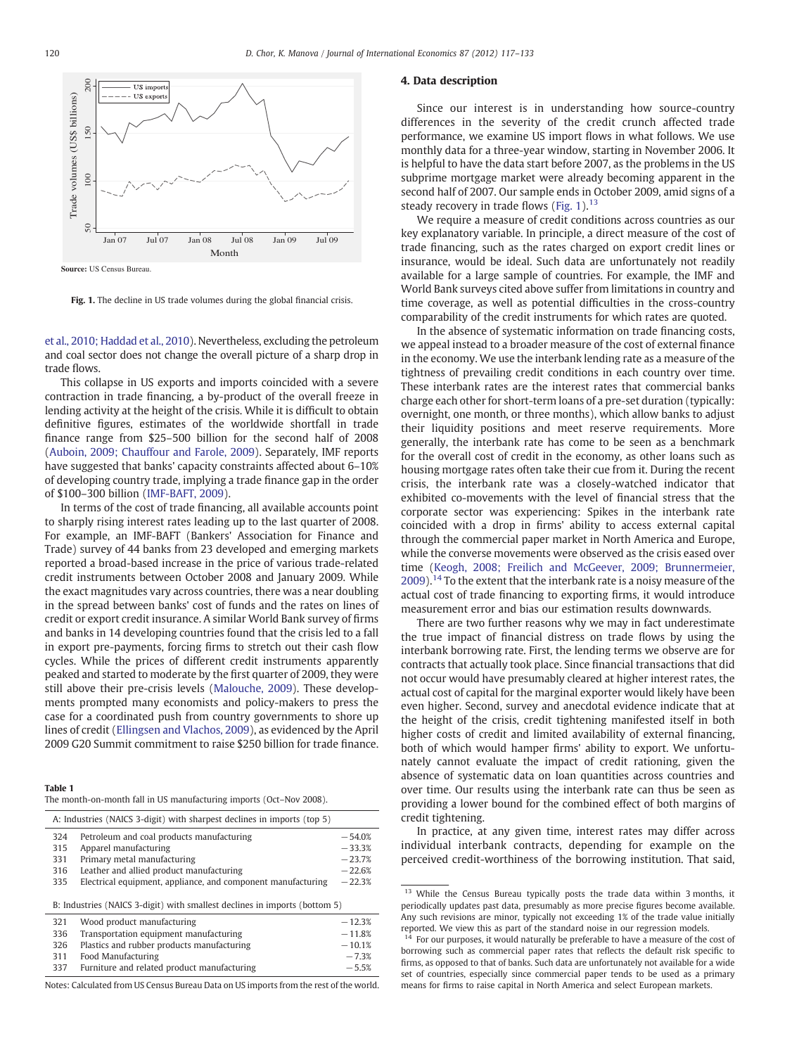<span id="page-3-0"></span>

Fig. 1. The decline in US trade volumes during the global financial crisis.

[et al., 2010; Haddad et al., 2010](#page-16-0)). Nevertheless, excluding the petroleum and coal sector does not change the overall picture of a sharp drop in trade flows.

This collapse in US exports and imports coincided with a severe contraction in trade financing, a by-product of the overall freeze in lending activity at the height of the crisis. While it is difficult to obtain definitive figures, estimates of the worldwide shortfall in trade finance range from \$25–500 billion for the second half of 2008 [\(Auboin, 2009; Chauffour and Farole, 2009\)](#page-15-0). Separately, IMF reports have suggested that banks' capacity constraints affected about 6–10% of developing country trade, implying a trade finance gap in the order of \$100–300 billion ([IMF-BAFT, 2009](#page-16-0)).

In terms of the cost of trade financing, all available accounts point to sharply rising interest rates leading up to the last quarter of 2008. For example, an IMF-BAFT (Bankers' Association for Finance and Trade) survey of 44 banks from 23 developed and emerging markets reported a broad-based increase in the price of various trade-related credit instruments between October 2008 and January 2009. While the exact magnitudes vary across countries, there was a near doubling in the spread between banks' cost of funds and the rates on lines of credit or export credit insurance. A similar World Bank survey of firms and banks in 14 developing countries found that the crisis led to a fall in export pre-payments, forcing firms to stretch out their cash flow cycles. While the prices of different credit instruments apparently peaked and started to moderate by the first quarter of 2009, they were still above their pre-crisis levels ([Malouche, 2009\)](#page-16-0). These developments prompted many economists and policy-makers to press the case for a coordinated push from country governments to shore up lines of credit ([Ellingsen and Vlachos, 2009\)](#page-15-0), as evidenced by the April 2009 G20 Summit commitment to raise \$250 billion for trade finance. By the state of the rest of the world. The matter of the matter of the world. The matter of the matter of the world. The matter of the world. The particle of the particle of the world. The particle of the particle of the

#### Table 1

The month-on-month fall in US manufacturing imports (Oct–Nov 2008).

| A: Industries (NAICS 3-digit) with sharpest declines in imports (top 5)    |                                                              |          |  |  |  |  |  |  |  |  |
|----------------------------------------------------------------------------|--------------------------------------------------------------|----------|--|--|--|--|--|--|--|--|
| 324                                                                        | Petroleum and coal products manufacturing                    | $-54.0%$ |  |  |  |  |  |  |  |  |
| 315                                                                        | Apparel manufacturing                                        | $-33.3%$ |  |  |  |  |  |  |  |  |
| 331                                                                        | Primary metal manufacturing                                  | $-23.7%$ |  |  |  |  |  |  |  |  |
| 316                                                                        | Leather and allied product manufacturing                     | $-22.6%$ |  |  |  |  |  |  |  |  |
| 335                                                                        | Electrical equipment, appliance, and component manufacturing | $-22.3%$ |  |  |  |  |  |  |  |  |
| B: Industries (NAICS 3-digit) with smallest declines in imports (bottom 5) |                                                              |          |  |  |  |  |  |  |  |  |
| 321                                                                        | Wood product manufacturing                                   | $-12.3%$ |  |  |  |  |  |  |  |  |
| 336                                                                        | Transportation equipment manufacturing                       | $-11.8%$ |  |  |  |  |  |  |  |  |
| 326                                                                        | Plastics and rubber products manufacturing                   | $-10.1%$ |  |  |  |  |  |  |  |  |

| 336 | Transportation equipment manufacturing      | $-11.8%$ |
|-----|---------------------------------------------|----------|
| 326 | Plastics and rubber products manufacturing  | $-10.1%$ |
| 311 | Food Manufacturing                          | $-7.3%$  |
| 337 | Furniture and related product manufacturing | $-5.5%$  |

#### 4. Data description

Since our interest is in understanding how source-country differences in the severity of the credit crunch affected trade performance, we examine US import flows in what follows. We use monthly data for a three-year window, starting in November 2006. It is helpful to have the data start before 2007, as the problems in the US subprime mortgage market were already becoming apparent in the second half of 2007. Our sample ends in October 2009, amid signs of a steady recovery in trade flows (Fig. 1). $^{13}$ 

We require a measure of credit conditions across countries as our key explanatory variable. In principle, a direct measure of the cost of trade financing, such as the rates charged on export credit lines or insurance, would be ideal. Such data are unfortunately not readily available for a large sample of countries. For example, the IMF and World Bank surveys cited above suffer from limitations in country and time coverage, as well as potential difficulties in the cross-country comparability of the credit instruments for which rates are quoted.

In the absence of systematic information on trade financing costs, we appeal instead to a broader measure of the cost of external finance in the economy. We use the interbank lending rate as a measure of the tightness of prevailing credit conditions in each country over time. These interbank rates are the interest rates that commercial banks charge each other for short-term loans of a pre-set duration (typically: overnight, one month, or three months), which allow banks to adjust their liquidity positions and meet reserve requirements. More generally, the interbank rate has come to be seen as a benchmark for the overall cost of credit in the economy, as other loans such as housing mortgage rates often take their cue from it. During the recent crisis, the interbank rate was a closely-watched indicator that exhibited co-movements with the level of financial stress that the corporate sector was experiencing: Spikes in the interbank rate coincided with a drop in firms' ability to access external capital through the commercial paper market in North America and Europe, while the converse movements were observed as the crisis eased over time ([Keogh, 2008; Freilich and McGeever, 2009; Brunnermeier,](#page-16-0)  $2009$ ).<sup>14</sup> To the extent that the interbank rate is a noisy measure of the actual cost of trade financing to exporting firms, it would introduce measurement error and bias our estimation results downwards.

There are two further reasons why we may in fact underestimate the true impact of financial distress on trade flows by using the interbank borrowing rate. First, the lending terms we observe are for contracts that actually took place. Since financial transactions that did not occur would have presumably cleared at higher interest rates, the actual cost of capital for the marginal exporter would likely have been even higher. Second, survey and anecdotal evidence indicate that at the height of the crisis, credit tightening manifested itself in both higher costs of credit and limited availability of external financing, both of which would hamper firms' ability to export. We unfortunately cannot evaluate the impact of credit rationing, given the absence of systematic data on loan quantities across countries and over time. Our results using the interbank rate can thus be seen as providing a lower bound for the combined effect of both margins of credit tightening.

In practice, at any given time, interest rates may differ across individual interbank contracts, depending for example on the perceived credit-worthiness of the borrowing institution. That said,

<sup>&</sup>lt;sup>13</sup> While the Census Bureau typically posts the trade data within 3 months, it periodically updates past data, presumably as more precise figures become available. Any such revisions are minor, typically not exceeding 1% of the trade value initially reported. We view this as part of the standard noise in our regression models.

<sup>&</sup>lt;sup>14</sup> For our purposes, it would naturally be preferable to have a measure of the cost of borrowing such as commercial paper rates that reflects the default risk specific to firms, as opposed to that of banks. Such data are unfortunately not available for a wide set of countries, especially since commercial paper tends to be used as a primary means for firms to raise capital in North America and select European markets.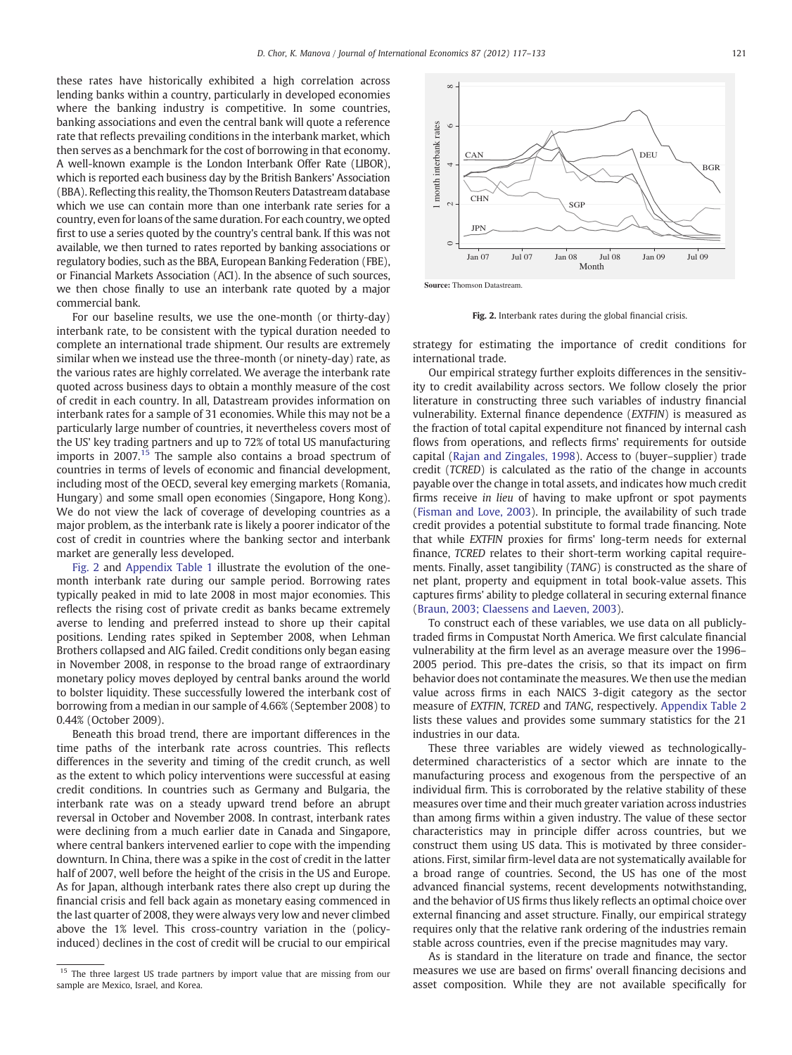<span id="page-4-0"></span>these rates have historically exhibited a high correlation across lending banks within a country, particularly in developed economies where the banking industry is competitive. In some countries, banking associations and even the central bank will quote a reference rate that reflects prevailing conditions in the interbank market, which then serves as a benchmark for the cost of borrowing in that economy. A well-known example is the London Interbank Offer Rate (LIBOR), which is reported each business day by the British Bankers' Association (BBA). Reflecting this reality, the Thomson Reuters Datastream database which we use can contain more than one interbank rate series for a country, even for loans of the same duration. For each country, we opted first to use a series quoted by the country's central bank. If this was not available, we then turned to rates reported by banking associations or regulatory bodies, such as the BBA, European Banking Federation (FBE), or Financial Markets Association (ACI). In the absence of such sources, we then chose finally to use an interbank rate quoted by a major commercial bank.

For our baseline results, we use the one-month (or thirty-day) interbank rate, to be consistent with the typical duration needed to complete an international trade shipment. Our results are extremely similar when we instead use the three-month (or ninety-day) rate, as the various rates are highly correlated. We average the interbank rate quoted across business days to obtain a monthly measure of the cost of credit in each country. In all, Datastream provides information on interbank rates for a sample of 31 economies. While this may not be a particularly large number of countries, it nevertheless covers most of the US' key trading partners and up to 72% of total US manufacturing imports in 2007.<sup>15</sup> The sample also contains a broad spectrum of countries in terms of levels of economic and financial development, including most of the OECD, several key emerging markets (Romania, Hungary) and some small open economies (Singapore, Hong Kong). We do not view the lack of coverage of developing countries as a major problem, as the interbank rate is likely a poorer indicator of the cost of credit in countries where the banking sector and interbank market are generally less developed.

Fig. 2 and [Appendix Table 1](#page-14-0) illustrate the evolution of the onemonth interbank rate during our sample period. Borrowing rates typically peaked in mid to late 2008 in most major economies. This reflects the rising cost of private credit as banks became extremely averse to lending and preferred instead to shore up their capital positions. Lending rates spiked in September 2008, when Lehman Brothers collapsed and AIG failed. Credit conditions only began easing in November 2008, in response to the broad range of extraordinary monetary policy moves deployed by central banks around the world to bolster liquidity. These successfully lowered the interbank cost of borrowing from a median in our sample of 4.66% (September 2008) to 0.44% (October 2009).

Beneath this broad trend, there are important differences in the time paths of the interbank rate across countries. This reflects differences in the severity and timing of the credit crunch, as well as the extent to which policy interventions were successful at easing credit conditions. In countries such as Germany and Bulgaria, the interbank rate was on a steady upward trend before an abrupt reversal in October and November 2008. In contrast, interbank rates were declining from a much earlier date in Canada and Singapore, where central bankers intervened earlier to cope with the impending downturn. In China, there was a spike in the cost of credit in the latter half of 2007, well before the height of the crisis in the US and Europe. As for Japan, although interbank rates there also crept up during the financial crisis and fell back again as monetary easing commenced in the last quarter of 2008, they were always very low and never climbed above the 1% level. This cross-country variation in the (policyinduced) declines in the cost of credit will be crucial to our empirical



**Source:** Thomson Datastream.

Fig. 2. Interbank rates during the global financial crisis.

strategy for estimating the importance of credit conditions for international trade.

Our empirical strategy further exploits differences in the sensitivity to credit availability across sectors. We follow closely the prior literature in constructing three such variables of industry financial vulnerability. External finance dependence (EXTFIN) is measured as the fraction of total capital expenditure not financed by internal cash flows from operations, and reflects firms' requirements for outside capital ([Rajan and Zingales, 1998\)](#page-16-0). Access to (buyer–supplier) trade credit (TCRED) is calculated as the ratio of the change in accounts payable over the change in total assets, and indicates how much credit firms receive in lieu of having to make upfront or spot payments [\(Fisman and Love, 2003](#page-15-0)). In principle, the availability of such trade credit provides a potential substitute to formal trade financing. Note that while EXTFIN proxies for firms' long-term needs for external finance, TCRED relates to their short-term working capital requirements. Finally, asset tangibility (TANG) is constructed as the share of net plant, property and equipment in total book-value assets. This captures firms' ability to pledge collateral in securing external finance [\(Braun, 2003; Claessens and Laeven, 2003\)](#page-15-0).

To construct each of these variables, we use data on all publiclytraded firms in Compustat North America. We first calculate financial vulnerability at the firm level as an average measure over the 1996– 2005 period. This pre-dates the crisis, so that its impact on firm behavior does not contaminate the measures. We then use the median value across firms in each NAICS 3-digit category as the sector measure of EXTFIN, TCRED and TANG, respectively. [Appendix Table 2](#page-15-0) lists these values and provides some summary statistics for the 21 industries in our data.

These three variables are widely viewed as technologicallydetermined characteristics of a sector which are innate to the manufacturing process and exogenous from the perspective of an individual firm. This is corroborated by the relative stability of these measures over time and their much greater variation across industries than among firms within a given industry. The value of these sector characteristics may in principle differ across countries, but we construct them using US data. This is motivated by three considerations. First, similar firm-level data are not systematically available for a broad range of countries. Second, the US has one of the most advanced financial systems, recent developments notwithstanding, and the behavior of US firms thus likely reflects an optimal choice over external financing and asset structure. Finally, our empirical strategy requires only that the relative rank ordering of the industries remain stable across countries, even if the precise magnitudes may vary.

As is standard in the literature on trade and finance, the sector measures we use are based on firms' overall financing decisions and asset composition. While they are not available specifically for

<sup>&</sup>lt;sup>15</sup> The three largest US trade partners by import value that are missing from our sample are Mexico, Israel, and Korea.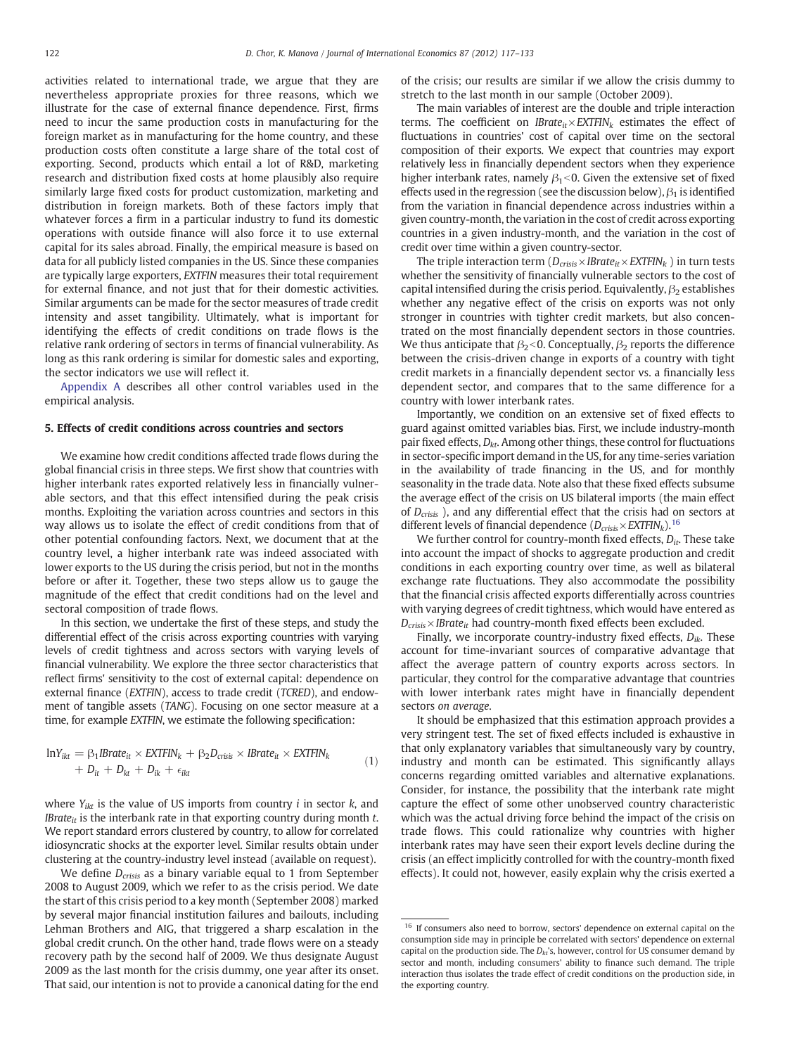<span id="page-5-0"></span>activities related to international trade, we argue that they are nevertheless appropriate proxies for three reasons, which we illustrate for the case of external finance dependence. First, firms need to incur the same production costs in manufacturing for the foreign market as in manufacturing for the home country, and these production costs often constitute a large share of the total cost of exporting. Second, products which entail a lot of R&D, marketing research and distribution fixed costs at home plausibly also require similarly large fixed costs for product customization, marketing and distribution in foreign markets. Both of these factors imply that whatever forces a firm in a particular industry to fund its domestic operations with outside finance will also force it to use external capital for its sales abroad. Finally, the empirical measure is based on data for all publicly listed companies in the US. Since these companies are typically large exporters, EXTFIN measures their total requirement for external finance, and not just that for their domestic activities. Similar arguments can be made for the sector measures of trade credit intensity and asset tangibility. Ultimately, what is important for identifying the effects of credit conditions on trade flows is the relative rank ordering of sectors in terms of financial vulnerability. As long as this rank ordering is similar for domestic sales and exporting, the sector indicators we use will reflect it.

[Appendix A](#page-14-0) describes all other control variables used in the empirical analysis.

#### 5. Effects of credit conditions across countries and sectors

We examine how credit conditions affected trade flows during the global financial crisis in three steps. We first show that countries with higher interbank rates exported relatively less in financially vulnerable sectors, and that this effect intensified during the peak crisis months. Exploiting the variation across countries and sectors in this way allows us to isolate the effect of credit conditions from that of other potential confounding factors. Next, we document that at the country level, a higher interbank rate was indeed associated with lower exports to the US during the crisis period, but not in the months before or after it. Together, these two steps allow us to gauge the magnitude of the effect that credit conditions had on the level and sectoral composition of trade flows.

In this section, we undertake the first of these steps, and study the differential effect of the crisis across exporting countries with varying levels of credit tightness and across sectors with varying levels of financial vulnerability. We explore the three sector characteristics that reflect firms' sensitivity to the cost of external capital: dependence on external finance (EXTFIN), access to trade credit (TCRED), and endowment of tangible assets (TANG). Focusing on one sector measure at a time, for example EXTFIN, we estimate the following specification:

$$
lnY_{ikt} = \beta_1 IBrate_{it} \times EXTFIN_k + \beta_2 D_{crisis} \times IBrate_{it} \times EXTFIN_k + D_{it} + D_{kt} + D_{ik} + \epsilon_{ikt}
$$
 (1)

where  $Y_{ikt}$  is the value of US imports from country *i* in sector *k*, and *IBrate<sub>it</sub>* is the interbank rate in that exporting country during month t. We report standard errors clustered by country, to allow for correlated idiosyncratic shocks at the exporter level. Similar results obtain under clustering at the country-industry level instead (available on request).

We define  $D_{crisis}$  as a binary variable equal to 1 from September 2008 to August 2009, which we refer to as the crisis period. We date the start of this crisis period to a key month (September 2008) marked by several major financial institution failures and bailouts, including Lehman Brothers and AIG, that triggered a sharp escalation in the global credit crunch. On the other hand, trade flows were on a steady recovery path by the second half of 2009. We thus designate August 2009 as the last month for the crisis dummy, one year after its onset. That said, our intention is not to provide a canonical dating for the end of the crisis; our results are similar if we allow the crisis dummy to stretch to the last month in our sample (October 2009).

The main variables of interest are the double and triple interaction terms. The coefficient on  $IBrate_{it} \times EXTFIN_k$  estimates the effect of fluctuations in countries' cost of capital over time on the sectoral composition of their exports. We expect that countries may export relatively less in financially dependent sectors when they experience higher interbank rates, namely  $\beta_1$ <0. Given the extensive set of fixed effects used in the regression (see the discussion below),  $\beta_1$  is identified from the variation in financial dependence across industries within a given country-month, the variation in the cost of credit across exporting countries in a given industry-month, and the variation in the cost of credit over time within a given country-sector.

The triple interaction term  $(D_{\text{crisis}} \times \text{IBrate}_{it} \times \text{EXTFIN}_{k})$  in turn tests whether the sensitivity of financially vulnerable sectors to the cost of capital intensified during the crisis period. Equivalently,  $\beta_2$  establishes whether any negative effect of the crisis on exports was not only stronger in countries with tighter credit markets, but also concentrated on the most financially dependent sectors in those countries. We thus anticipate that  $\beta_2$ <0. Conceptually,  $\beta_2$  reports the difference between the crisis-driven change in exports of a country with tight credit markets in a financially dependent sector vs. a financially less dependent sector, and compares that to the same difference for a country with lower interbank rates.

Importantly, we condition on an extensive set of fixed effects to guard against omitted variables bias. First, we include industry-month pair fixed effects,  $D_{kt}$ . Among other things, these control for fluctuations in sector-specific import demand in the US, for any time-series variation in the availability of trade financing in the US, and for monthly seasonality in the trade data. Note also that these fixed effects subsume the average effect of the crisis on US bilateral imports (the main effect of  $D_{crisis}$ ), and any differential effect that the crisis had on sectors at different levels of financial dependence  $(D_{\text{crisis}} \times \text{EXTFIN}_k)$ .<sup>16</sup>

We further control for country-month fixed effects,  $D_{it}$ . These take into account the impact of shocks to aggregate production and credit conditions in each exporting country over time, as well as bilateral exchange rate fluctuations. They also accommodate the possibility that the financial crisis affected exports differentially across countries with varying degrees of credit tightness, which would have entered as  $D_{\text{crisis}} \times IBrate_{it}$  had country-month fixed effects been excluded.

Finally, we incorporate country-industry fixed effects,  $D_{ik}$ . These account for time-invariant sources of comparative advantage that affect the average pattern of country exports across sectors. In particular, they control for the comparative advantage that countries with lower interbank rates might have in financially dependent sectors on average.

It should be emphasized that this estimation approach provides a very stringent test. The set of fixed effects included is exhaustive in that only explanatory variables that simultaneously vary by country, industry and month can be estimated. This significantly allays concerns regarding omitted variables and alternative explanations. Consider, for instance, the possibility that the interbank rate might capture the effect of some other unobserved country characteristic which was the actual driving force behind the impact of the crisis on trade flows. This could rationalize why countries with higher interbank rates may have seen their export levels decline during the crisis (an effect implicitly controlled for with the country-month fixed effects). It could not, however, easily explain why the crisis exerted a

<sup>&</sup>lt;sup>16</sup> If consumers also need to borrow, sectors' dependence on external capital on the consumption side may in principle be correlated with sectors' dependence on external capital on the production side. The  $D_{kt}$ 's, however, control for US consumer demand by sector and month, including consumers' ability to finance such demand. The triple interaction thus isolates the trade effect of credit conditions on the production side, in the exporting country.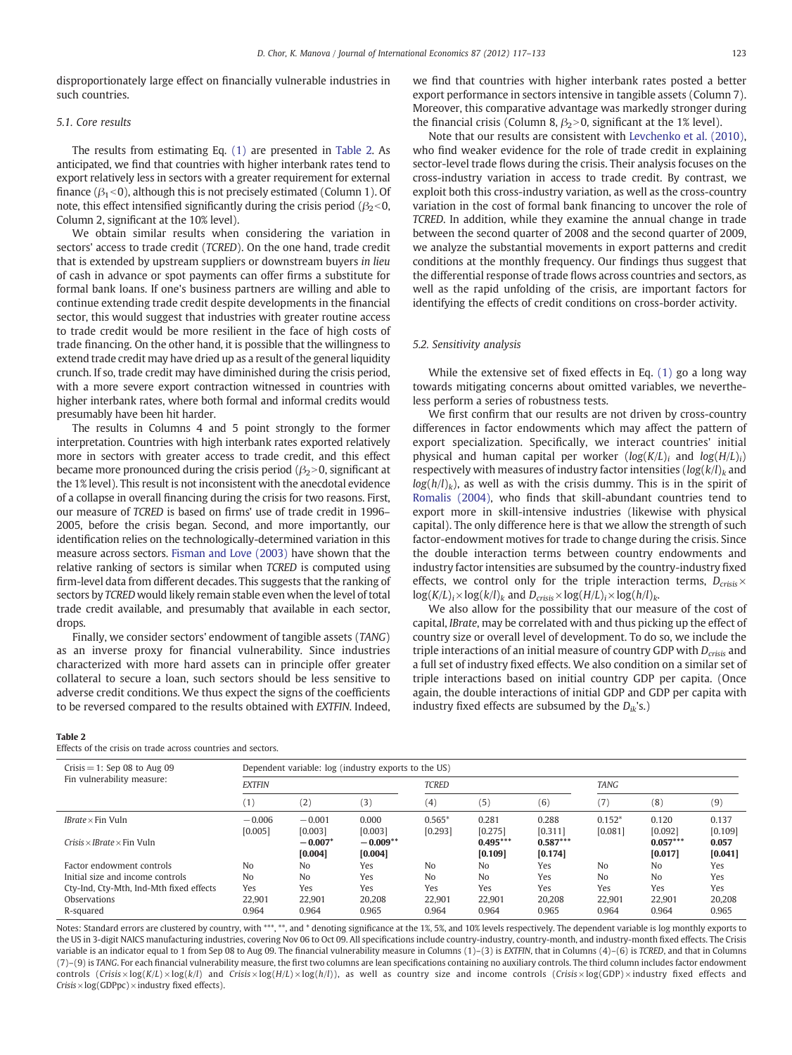<span id="page-6-0"></span>disproportionately large effect on financially vulnerable industries in such countries.

#### 5.1. Core results

The results from estimating Eq. [\(1\)](#page-5-0) are presented in Table 2. As anticipated, we find that countries with higher interbank rates tend to export relatively less in sectors with a greater requirement for external finance ( $\beta_1$ <0), although this is not precisely estimated (Column 1). Of note, this effect intensified significantly during the crisis period ( $\beta$ <sub>2</sub> < 0, Column 2, significant at the 10% level).

We obtain similar results when considering the variation in sectors' access to trade credit (TCRED). On the one hand, trade credit that is extended by upstream suppliers or downstream buyers in lieu of cash in advance or spot payments can offer firms a substitute for formal bank loans. If one's business partners are willing and able to continue extending trade credit despite developments in the financial sector, this would suggest that industries with greater routine access to trade credit would be more resilient in the face of high costs of trade financing. On the other hand, it is possible that the willingness to extend trade credit may have dried up as a result of the general liquidity crunch. If so, trade credit may have diminished during the crisis period, with a more severe export contraction witnessed in countries with higher interbank rates, where both formal and informal credits would presumably have been hit harder.

The results in Columns 4 and 5 point strongly to the former interpretation. Countries with high interbank rates exported relatively more in sectors with greater access to trade credit, and this effect became more pronounced during the crisis period ( $\beta_2$ >0, significant at the 1% level). This result is not inconsistent with the anecdotal evidence of a collapse in overall financing during the crisis for two reasons. First, our measure of TCRED is based on firms' use of trade credit in 1996– 2005, before the crisis began. Second, and more importantly, our identification relies on the technologically-determined variation in this measure across sectors. [Fisman and Love \(2003\)](#page-15-0) have shown that the relative ranking of sectors is similar when TCRED is computed using firm-level data from different decades. This suggests that the ranking of sectors by TCRED would likely remain stable even when the level of total trade credit available, and presumably that available in each sector, drops.

Finally, we consider sectors' endowment of tangible assets (TANG) as an inverse proxy for financial vulnerability. Since industries characterized with more hard assets can in principle offer greater collateral to secure a loan, such sectors should be less sensitive to adverse credit conditions. We thus expect the signs of the coefficients to be reversed compared to the results obtained with EXTFIN. Indeed,

#### Table 2

Effects of the crisis on trade across countries and sectors.

we find that countries with higher interbank rates posted a better export performance in sectors intensive in tangible assets (Column 7). Moreover, this comparative advantage was markedly stronger during the financial crisis (Column 8,  $\beta_2$  > 0, significant at the 1% level).

Note that our results are consistent with [Levchenko et al. \(2010\),](#page-16-0) who find weaker evidence for the role of trade credit in explaining sector-level trade flows during the crisis. Their analysis focuses on the cross-industry variation in access to trade credit. By contrast, we exploit both this cross-industry variation, as well as the cross-country variation in the cost of formal bank financing to uncover the role of TCRED. In addition, while they examine the annual change in trade between the second quarter of 2008 and the second quarter of 2009, we analyze the substantial movements in export patterns and credit conditions at the monthly frequency. Our findings thus suggest that the differential response of trade flows across countries and sectors, as well as the rapid unfolding of the crisis, are important factors for identifying the effects of credit conditions on cross-border activity.

#### 5.2. Sensitivity analysis

While the extensive set of fixed effects in Eq. [\(1\)](#page-5-0) go a long way towards mitigating concerns about omitted variables, we nevertheless perform a series of robustness tests.

We first confirm that our results are not driven by cross-country differences in factor endowments which may affect the pattern of export specialization. Specifically, we interact countries' initial physical and human capital per worker  $(log(K/L)<sub>i</sub>$  and  $log(H/L)<sub>i</sub>$ ) respectively with measures of industry factor intensities  $(log(k/l)<sub>k</sub>$  and  $log(h/l)<sub>k</sub>$ , as well as with the crisis dummy. This is in the spirit of [Romalis \(2004\)](#page-16-0), who finds that skill-abundant countries tend to export more in skill-intensive industries (likewise with physical capital). The only difference here is that we allow the strength of such factor-endowment motives for trade to change during the crisis. Since the double interaction terms between country endowments and industry factor intensities are subsumed by the country-industry fixed effects, we control only for the triple interaction terms,  $D_{crisis} \times$  $log(K/L)<sub>i</sub> \times log(k/l)<sub>k</sub>$  and  $D<sub>crisis</sub> \times log(H/L)<sub>i</sub> \times log(h/l)<sub>k</sub>.$ 

We also allow for the possibility that our measure of the cost of capital, IBrate, may be correlated with and thus picking up the effect of country size or overall level of development. To do so, we include the triple interactions of an initial measure of country GDP with  $D_{crisis}$  and a full set of industry fixed effects. We also condition on a similar set of triple interactions based on initial country GDP per capita. (Once again, the double interactions of initial GDP and GDP per capita with industry fixed effects are subsumed by the  $D_{ik}$ 's.)

| Crisis $= 1$ : Sep 08 to Aug 09         | Dependent variable: log (industry exports to the US) |                      |                       |                     |                       |                       |                     |                       |                  |
|-----------------------------------------|------------------------------------------------------|----------------------|-----------------------|---------------------|-----------------------|-----------------------|---------------------|-----------------------|------------------|
| Fin vulnerability measure:              | <b>EXTFIN</b>                                        |                      |                       | <b>TCRED</b>        |                       |                       | <b>TANG</b>         |                       |                  |
|                                         | (1)                                                  | (2)                  | (3)                   | (4)                 | (5)                   | (6)                   | (7)                 | (8)                   | (9)              |
| <i>IBrate</i> $\times$ Fin Vuln         | $-0.006$<br>[0.005]                                  | $-0.001$<br>[0.003]  | 0.000<br>[0.003]      | $0.565*$<br>[0.293] | 0.281<br>[0.275]      | 0.288<br>[0.311]      | $0.152*$<br>[0.081] | 0.120<br>[0.092]      | 0.137<br>[0.109] |
| $Crisis \times IBrate \times Fin$ Vuln  |                                                      | $-0.007*$<br>[0.004] | $-0.009**$<br>[0.004] |                     | $0.495***$<br>[0.109] | $0.587***$<br>[0.174] |                     | $0.057***$<br>[0.017] | 0.057<br>[0.041] |
| Factor endowment controls               | N <sub>o</sub>                                       | N <sub>0</sub>       | Yes                   | N <sub>o</sub>      | N <sub>0</sub>        | Yes                   | N <sub>o</sub>      | N <sub>0</sub>        | Yes              |
| Initial size and income controls        | N <sub>o</sub>                                       | N <sub>0</sub>       | Yes                   | N <sub>o</sub>      | N <sub>o</sub>        | Yes                   | N <sub>0</sub>      | N <sub>0</sub>        | Yes              |
| Cty-Ind, Cty-Mth, Ind-Mth fixed effects | Yes                                                  | Yes                  | Yes                   | Yes                 | Yes                   | Yes                   | Yes                 | Yes                   | Yes              |
| Observations                            | 22.901                                               | 22.901               | 20,208                | 22.901              | 22.901                | 20.208                | 22.901              | 22.901                | 20.208           |
| R-squared                               | 0.964                                                | 0.964                | 0.965                 | 0.964               | 0.964                 | 0.965                 | 0.964               | 0.964                 | 0.965            |

Notes: Standard errors are clustered by country, with \*\*\*, \*\*, and \* denoting significance at the 1%, 5%, and 10% levels respectively. The dependent variable is log monthly exports to the US in 3-digit NAICS manufacturing industries, covering Nov 06 to Oct 09. All specifications include country-industry, country-month, and industry-month fixed effects. The Crisis variable is an indicator equal to 1 from Sep 08 to Aug 09. The financial vulnerability measure in Columns (1)-(3) is EXTFIN, that in Columns (4)-(6) is TCRED, and that in Columns (7)–(9) is TANG. For each financial vulnerability measure, the first two columns are lean specifications containing no auxiliary controls. The third column includes factor endowment controls  $(Crisis \times log(K/L) \times log(k/l)$  and  $Crisis \times log(H/L) \times log(h/l))$ , as well as country size and income controls  $(Crisis \times log(GDP) \times industry$  fixed effects and  $Crisis \times log(GDPpc) \times industry fixed effects)$ .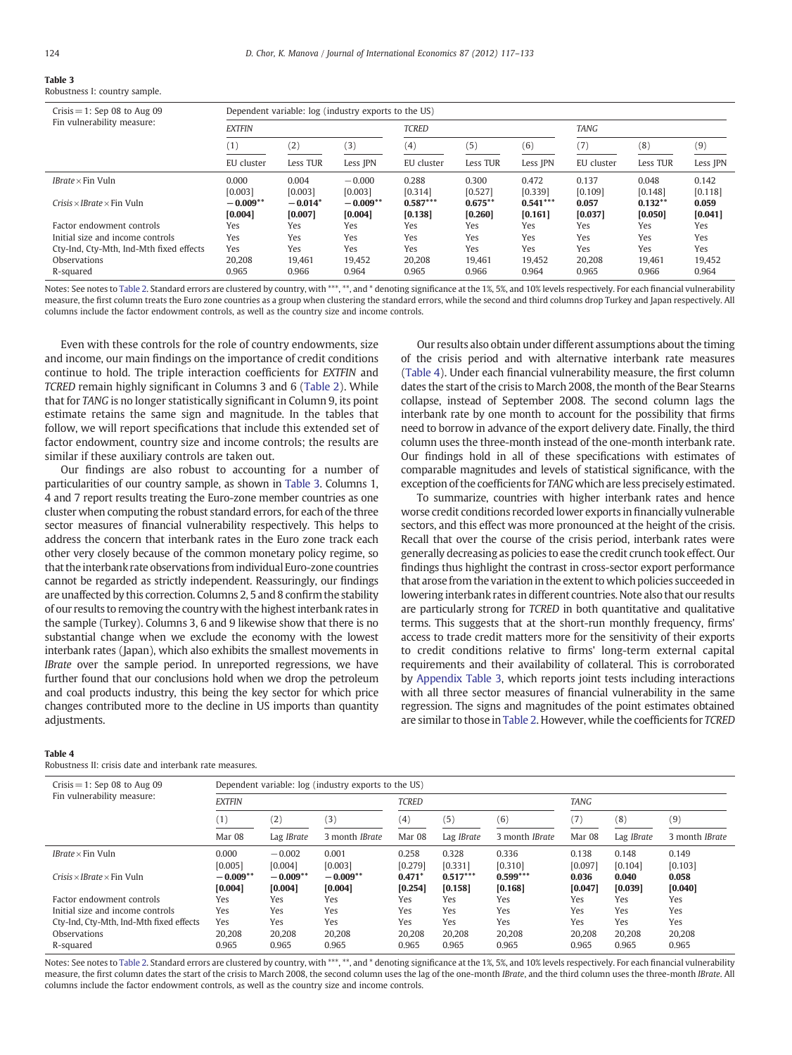#### Table 3 Robustness I: country sample.

| Crisis $= 1$ : Sep 08 to Aug 09                         | Dependent variable: log (industry exports to the US) |                      |                       |                       |                      |                       |                  |                      |                  |  |
|---------------------------------------------------------|------------------------------------------------------|----------------------|-----------------------|-----------------------|----------------------|-----------------------|------------------|----------------------|------------------|--|
| Fin vulnerability measure:                              | <b>EXTFIN</b>                                        |                      |                       | <b>TCRED</b>          |                      |                       | <b>TANG</b>      |                      |                  |  |
|                                                         | $\left(1\right)$                                     | (2)                  | (3)                   | (4)                   | (5)                  | (6)                   | (7)              | (8)                  | (9)              |  |
|                                                         | EU cluster                                           | Less TUR             | Less JPN              | EU cluster            | Less TUR             | Less JPN              | EU cluster       | Less TUR             | Less JPN         |  |
| <i><b>IBrate <math>\times</math> Fin Vuln</b></i>       | 0.000<br>[0.003]                                     | 0.004<br>[0.003]     | $-0.000$<br>[0.003]   | 0.288<br>[0.314]      | 0.300<br>[0.527]     | 0.472<br>[0.339]      | 0.137<br>[0.109] | 0.048<br>[0.148]     | 0.142<br>[0.118] |  |
| $Crisis \times IBrate \times Fin$ Vuln                  | $-0.009**$<br>[0.004]                                | $-0.014*$<br>[0.007] | $-0.009**$<br>[0.004] | $0.587***$<br>[0.138] | $0.675**$<br>[0.260] | $0.541***$<br>[0.161] | 0.057<br>[0.037] | $0.132**$<br>[0.050] | 0.059<br>[0.041] |  |
| Factor endowment controls                               | Yes                                                  | Yes                  | Yes                   | Yes                   | Yes                  | Yes                   | Yes              | Yes                  | Yes              |  |
| Initial size and income controls                        | Yes                                                  | Yes                  | Yes                   | Yes                   | Yes                  | Yes                   | Yes              | Yes                  | Yes              |  |
| Cty-Ind, Cty-Mth, Ind-Mth fixed effects<br>Observations | Yes<br>20.208                                        | Yes<br>19.461        | Yes<br>19.452         | Yes<br>20,208         | Yes<br>19.461        | Yes<br>19.452         | Yes<br>20,208    | Yes<br>19.461        | Yes<br>19,452    |  |
| R-squared                                               | 0.965                                                | 0.966                | 0.964                 | 0.965                 | 0.966                | 0.964                 | 0.965            | 0.966                | 0.964            |  |

Notes: See notes to [Table 2](#page-6-0). Standard errors are clustered by country, with \*\*\*, \*\*, and \* denoting significance at the 1%, 5%, and 10% levels respectively. For each financial vulnerability measure, the first column treats the Euro zone countries as a group when clustering the standard errors, while the second and third columns drop Turkey and Japan respectively. All columns include the factor endowment controls, as well as the country size and income controls.

Even with these controls for the role of country endowments, size and income, our main findings on the importance of credit conditions continue to hold. The triple interaction coefficients for EXTFIN and TCRED remain highly significant in Columns 3 and 6 ([Table 2](#page-6-0)). While that for TANG is no longer statistically significant in Column 9, its point estimate retains the same sign and magnitude. In the tables that follow, we will report specifications that include this extended set of factor endowment, country size and income controls; the results are similar if these auxiliary controls are taken out.

Our findings are also robust to accounting for a number of particularities of our country sample, as shown in Table 3. Columns 1, 4 and 7 report results treating the Euro-zone member countries as one cluster when computing the robust standard errors, for each of the three sector measures of financial vulnerability respectively. This helps to address the concern that interbank rates in the Euro zone track each other very closely because of the common monetary policy regime, so that the interbank rate observations from individual Euro-zone countries cannot be regarded as strictly independent. Reassuringly, our findings are unaffected by this correction. Columns 2, 5 and 8 confirm the stability of our results to removing the country with the highest interbank rates in the sample (Turkey). Columns 3, 6 and 9 likewise show that there is no substantial change when we exclude the economy with the lowest interbank rates (Japan), which also exhibits the smallest movements in IBrate over the sample period. In unreported regressions, we have further found that our conclusions hold when we drop the petroleum and coal products industry, this being the key sector for which price changes contributed more to the decline in US imports than quantity adjustments.

# Table 4

Robustness II: crisis date and interbank rate measures.

Our results also obtain under different assumptions about the timing of the crisis period and with alternative interbank rate measures (Table 4). Under each financial vulnerability measure, the first column dates the start of the crisis to March 2008, the month of the Bear Stearns collapse, instead of September 2008. The second column lags the interbank rate by one month to account for the possibility that firms need to borrow in advance of the export delivery date. Finally, the third column uses the three-month instead of the one-month interbank rate. Our findings hold in all of these specifications with estimates of comparable magnitudes and levels of statistical significance, with the exception of the coefficients for TANG which are less precisely estimated.

To summarize, countries with higher interbank rates and hence worse credit conditions recorded lower exports in financially vulnerable sectors, and this effect was more pronounced at the height of the crisis. Recall that over the course of the crisis period, interbank rates were generally decreasing as policies to ease the credit crunch took effect. Our findings thus highlight the contrast in cross-sector export performance that arose from the variation in the extent to which policies succeeded in lowering interbank rates in different countries. Note also that our results are particularly strong for TCRED in both quantitative and qualitative terms. This suggests that at the short-run monthly frequency, firms' access to trade credit matters more for the sensitivity of their exports to credit conditions relative to firms' long-term external capital requirements and their availability of collateral. This is corroborated by [Appendix Table 3](#page-15-0), which reports joint tests including interactions with all three sector measures of financial vulnerability in the same regression. The signs and magnitudes of the point estimates obtained are similar to those in [Table 2](#page-6-0). However, while the coefficients for TCRED

| Crisis = 1: Sep 08 to Aug 09                      |               |            | Dependent variable: log (industry exports to the US) |              |            |                       |         |            |                       |
|---------------------------------------------------|---------------|------------|------------------------------------------------------|--------------|------------|-----------------------|---------|------------|-----------------------|
| Fin vulnerability measure:                        | <b>EXTFIN</b> |            |                                                      | <b>TCRED</b> |            |                       | TANG    |            |                       |
|                                                   | (1)           | (2)        | (3)                                                  | $^{(4)}$     | (5)        | (6)                   | (7)     | (8)        | (9)                   |
|                                                   | Mar 08        | Lag IBrate | 3 month <i>IBrate</i>                                | Mar 08       | Lag IBrate | 3 month <i>IBrate</i> | Mar 08  | Lag IBrate | 3 month <i>IBrate</i> |
| <i><b>IBrate <math>\times</math> Fin Vuln</b></i> | 0.000         | $-0.002$   | 0.001                                                | 0.258        | 0.328      | 0.336                 | 0.138   | 0.148      | 0.149                 |
|                                                   | [0.005]       | [0.004]    | [0.003]                                              | [0.279]      | [0.331]    | [0.310]               | [0.097] | [0.104]    | [0.103]               |
| $Crisis \times IBrate \times Fin$ Vuln            | $-0.009**$    | $-0.009**$ | $-0.009**$                                           | $0.471*$     | $0.517***$ | $0.599***$            | 0.036   | 0.040      | 0.058                 |
|                                                   | [0.004]       | [0.004]    | [0.004]                                              | [0.254]      | [0.158]    | [0.168]               | [0.047] | [0.039]    | [0.040]               |
| Factor endowment controls                         | Yes           | Yes        | Yes                                                  | Yes          | Yes        | Yes                   | Yes     | Yes        | Yes                   |
| Initial size and income controls                  | Yes           | Yes        | Yes                                                  | Yes          | Yes        | Yes                   | Yes     | Yes        | Yes                   |
| Cty-Ind, Cty-Mth, Ind-Mth fixed effects           | Yes           | Yes        | Yes                                                  | Yes          | Yes        | Yes                   | Yes     | Yes        | Yes                   |
| <b>Observations</b>                               | 20.208        | 20.208     | 20,208                                               | 20.208       | 20,208     | 20,208                | 20.208  | 20,208     | 20,208                |
| R-squared                                         | 0.965         | 0.965      | 0.965                                                | 0.965        | 0.965      | 0.965                 | 0.965   | 0.965      | 0.965                 |

Notes: See notes to [Table 2](#page-6-0). Standard errors are clustered by country, with \*\*\*, \*\*, and \* denoting significance at the 1%, 5%, and 10% levels respectively. For each financial vulnerability measure, the first column dates the start of the crisis to March 2008, the second column uses the lag of the one-month IBrate, and the third column uses the three-month IBrate. All columns include the factor endowment controls, as well as the country size and income controls.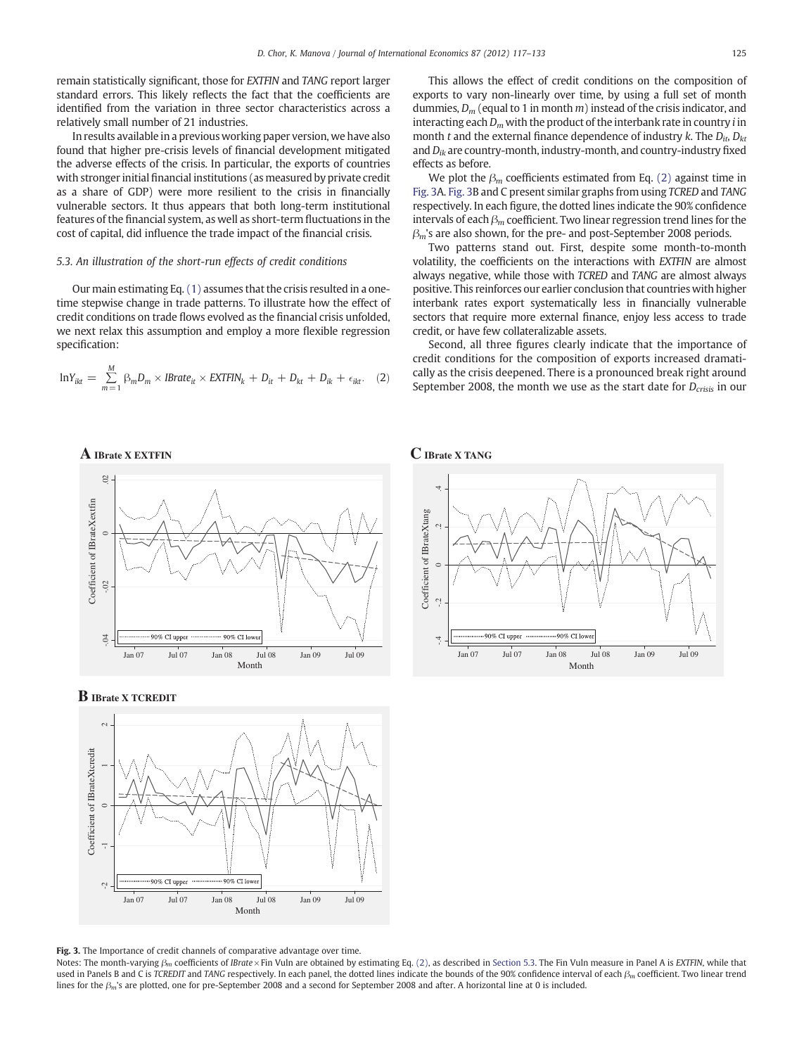<span id="page-8-0"></span>remain statistically significant, those for EXTFIN and TANG report larger standard errors. This likely reflects the fact that the coefficients are identified from the variation in three sector characteristics across a relatively small number of 21 industries.

In results available in a previous working paper version, we have also found that higher pre-crisis levels of financial development mitigated the adverse effects of the crisis. In particular, the exports of countries with stronger initial financial institutions (as measured by private credit as a share of GDP) were more resilient to the crisis in financially vulnerable sectors. It thus appears that both long-term institutional features of the financial system, as well as short-term fluctuations in the cost of capital, did influence the trade impact of the financial crisis.

#### 5.3. An illustration of the short-run effects of credit conditions

Our main estimating Eq. [\(1\)](#page-5-0) assumes that the crisis resulted in a onetime stepwise change in trade patterns. To illustrate how the effect of credit conditions on trade flows evolved as the financial crisis unfolded, we next relax this assumption and employ a more flexible regression specification:

$$
\ln Y_{ikt} = \sum_{m=1}^{M} \beta_m D_m \times \text{Brate}_{it} \times \text{EXTFIN}_k + D_{it} + D_{kt} + D_{ik} + \epsilon_{ikt}. \quad (2)
$$

This allows the effect of credit conditions on the composition of exports to vary non-linearly over time, by using a full set of month dummies,  $D_m$  (equal to 1 in month m) instead of the crisis indicator, and interacting each  $D_m$  with the product of the interbank rate in country *i* in month t and the external finance dependence of industry k. The  $D_{in} D_{kt}$ and  $D_{ik}$  are country-month, industry-month, and country-industry fixed effects as before.

We plot the  $\beta_m$  coefficients estimated from Eq. (2) against time in Fig. 3A. Fig. 3B and C present similar graphs from using TCRED and TANG respectively. In each figure, the dotted lines indicate the 90% confidence intervals of each  $\beta_m$  coefficient. Two linear regression trend lines for the  $\beta_m$ 's are also shown, for the pre- and post-September 2008 periods.

Two patterns stand out. First, despite some month-to-month volatility, the coefficients on the interactions with EXTFIN are almost always negative, while those with TCRED and TANG are almost always positive. This reinforces our earlier conclusion that countries with higher interbank rates export systematically less in financially vulnerable sectors that require more external finance, enjoy less access to trade credit, or have few collateralizable assets.

Second, all three figures clearly indicate that the importance of credit conditions for the composition of exports increased dramatically as the crisis deepened. There is a pronounced break right around September 2008, the month we use as the start date for  $D_{crisis}$  in our

Month

-90% CI lov

**A IBrate X EXTFIN** 

Coefficient of IBrateXextfin<br>-.04 -.02 0

 $\Omega$ 

S.

Coefficient of IBrateXextfin

 $\approx$ 

**C IBrate X TANG** 







Fig. 3. The Importance of credit channels of comparative advantage over time.

Notes: The month-varying  $\beta_m$  coefficients of *IBrate* × Fin Vuln are obtained by estimating Eq. (2), as described in Section 5.3. The Fin Vuln measure in Panel A is EXTFIN, while that used in Panels B and C is TCREDIT and TANG respectively. In each panel, the dotted lines indicate the bounds of the 90% confidence interval of each  $\beta_m$  coefficient. Two linear trend lines for the  $\beta_m$ 's are plotted, one for pre-September 2008 and a second for September 2008 and after. A horizontal line at 0 is included.



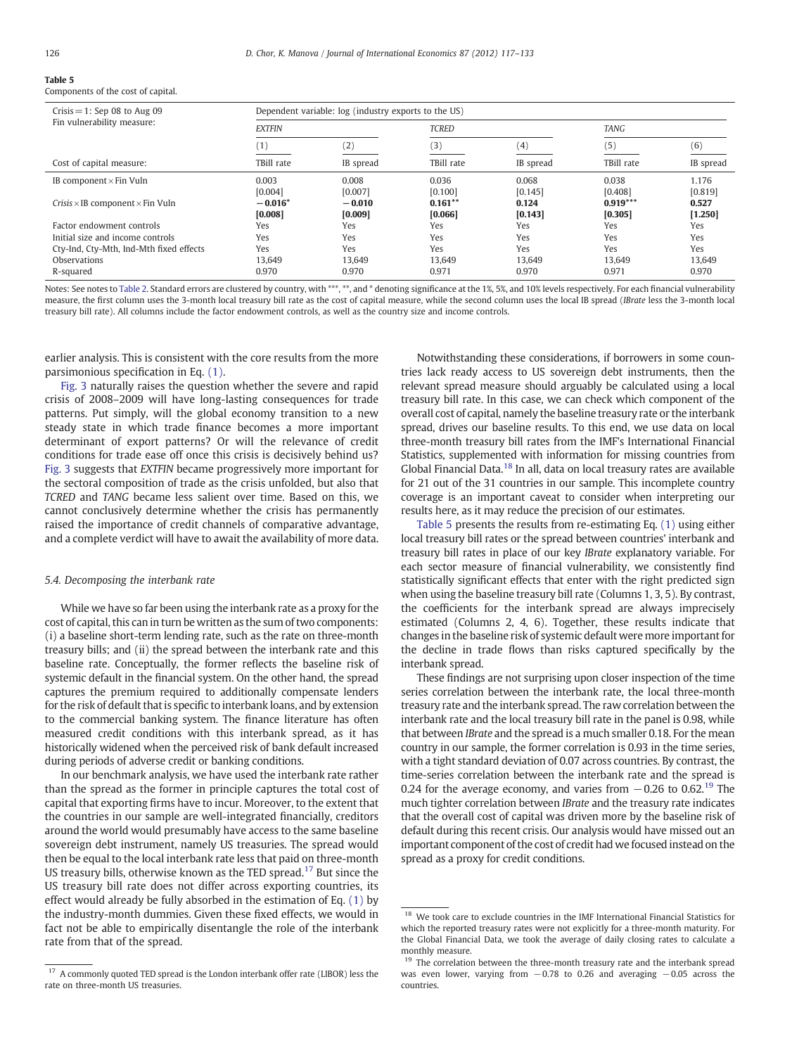#### <span id="page-9-0"></span>Table 5 Components of the cost of capital.

| Crisis = 1: Sep 08 to Aug 09                   |                      | Dependent variable: log (industry exports to the US) |                      |                  |                       |                  |  |
|------------------------------------------------|----------------------|------------------------------------------------------|----------------------|------------------|-----------------------|------------------|--|
| Fin vulnerability measure:                     | <b>EXTFIN</b>        |                                                      | <b>TCRED</b>         |                  | <b>TANG</b>           |                  |  |
|                                                | (1)                  | (2)                                                  | (3)                  | (4)              | (5)                   | (6)              |  |
| Cost of capital measure:                       | TBill rate           | IB spread                                            | TBill rate           | IB spread        | TBill rate            | IB spread        |  |
| IB component $\times$ Fin Vuln                 | 0.003<br>[0.004]     | 0.008<br>[0.007]                                     | 0.036<br>[0.100]     | 0.068<br>[0.145] | 0.038<br>[0.408]      | 1.176<br>[0.819] |  |
| $Crisis \times IB$ component $\times Fin$ Vuln | $-0.016*$<br>[0.008] | $-0.010$<br>[0.009]                                  | $0.161**$<br>[0.066] | 0.124<br>[0.143] | $0.919***$<br>[0.305] | 0.527<br>[1.250] |  |
| Factor endowment controls                      | Yes                  | Yes                                                  | Yes                  | Yes              | Yes                   | Yes              |  |
| Initial size and income controls               | Yes                  | Yes                                                  | Yes                  | Yes              | Yes                   | Yes              |  |
| Cty-Ind, Cty-Mth, Ind-Mth fixed effects        | Yes                  | Yes                                                  | Yes                  | Yes              | Yes                   | Yes              |  |
| Observations                                   | 13.649               | 13.649                                               | 13.649               | 13.649           | 13.649                | 13.649           |  |
| R-squared                                      | 0.970                | 0.970                                                | 0.971                | 0.970            | 0.971                 | 0.970            |  |

Notes: See notes to [Table 2](#page-6-0). Standard errors are clustered by country, with \*\*\*, \*\*, and \* denoting significance at the 1%, 5%, and 10% levels respectively. For each financial vulnerability measure, the first column uses the 3-month local treasury bill rate as the cost of capital measure, while the second column uses the local IB spread (IBrate less the 3-month local treasury bill rate). All columns include the factor endowment controls, as well as the country size and income controls.

earlier analysis. This is consistent with the core results from the more parsimonious specification in Eq. [\(1\).](#page-5-0)

[Fig. 3](#page-8-0) naturally raises the question whether the severe and rapid crisis of 2008–2009 will have long-lasting consequences for trade patterns. Put simply, will the global economy transition to a new steady state in which trade finance becomes a more important determinant of export patterns? Or will the relevance of credit conditions for trade ease off once this crisis is decisively behind us? [Fig. 3](#page-8-0) suggests that EXTFIN became progressively more important for the sectoral composition of trade as the crisis unfolded, but also that TCRED and TANG became less salient over time. Based on this, we cannot conclusively determine whether the crisis has permanently raised the importance of credit channels of comparative advantage, and a complete verdict will have to await the availability of more data.

#### 5.4. Decomposing the interbank rate

While we have so far been using the interbank rate as a proxy for the cost of capital, this can in turn be written as the sum of two components: (i) a baseline short-term lending rate, such as the rate on three-month treasury bills; and (ii) the spread between the interbank rate and this baseline rate. Conceptually, the former reflects the baseline risk of systemic default in the financial system. On the other hand, the spread captures the premium required to additionally compensate lenders for the risk of default that is specific to interbank loans, and by extension to the commercial banking system. The finance literature has often measured credit conditions with this interbank spread, as it has historically widened when the perceived risk of bank default increased during periods of adverse credit or banking conditions.

In our benchmark analysis, we have used the interbank rate rather than the spread as the former in principle captures the total cost of capital that exporting firms have to incur. Moreover, to the extent that the countries in our sample are well-integrated financially, creditors around the world would presumably have access to the same baseline sovereign debt instrument, namely US treasuries. The spread would then be equal to the local interbank rate less that paid on three-month US treasury bills, otherwise known as the TED spread.<sup>17</sup> But since the US treasury bill rate does not differ across exporting countries, its effect would already be fully absorbed in the estimation of Eq. [\(1\)](#page-5-0) by the industry-month dummies. Given these fixed effects, we would in fact not be able to empirically disentangle the role of the interbank rate from that of the spread.

Notwithstanding these considerations, if borrowers in some countries lack ready access to US sovereign debt instruments, then the relevant spread measure should arguably be calculated using a local treasury bill rate. In this case, we can check which component of the overall cost of capital, namely the baseline treasury rate or the interbank spread, drives our baseline results. To this end, we use data on local three-month treasury bill rates from the IMF's International Financial Statistics, supplemented with information for missing countries from Global Financial Data.<sup>18</sup> In all, data on local treasury rates are available for 21 out of the 31 countries in our sample. This incomplete country coverage is an important caveat to consider when interpreting our results here, as it may reduce the precision of our estimates.

Table 5 presents the results from re-estimating Eq. [\(1\)](#page-5-0) using either local treasury bill rates or the spread between countries' interbank and treasury bill rates in place of our key IBrate explanatory variable. For each sector measure of financial vulnerability, we consistently find statistically significant effects that enter with the right predicted sign when using the baseline treasury bill rate (Columns 1, 3, 5). By contrast, the coefficients for the interbank spread are always imprecisely estimated (Columns 2, 4, 6). Together, these results indicate that changes in the baseline risk of systemic default were more important for the decline in trade flows than risks captured specifically by the interbank spread.

These findings are not surprising upon closer inspection of the time series correlation between the interbank rate, the local three-month treasury rate and the interbank spread. The raw correlation between the interbank rate and the local treasury bill rate in the panel is 0.98, while that between IBrate and the spread is a much smaller 0.18. For the mean country in our sample, the former correlation is 0.93 in the time series, with a tight standard deviation of 0.07 across countries. By contrast, the time-series correlation between the interbank rate and the spread is 0.24 for the average economy, and varies from  $-0.26$  to 0.62.<sup>19</sup> The much tighter correlation between IBrate and the treasury rate indicates that the overall cost of capital was driven more by the baseline risk of default during this recent crisis. Our analysis would have missed out an important component of the cost of credit had we focused instead on the spread as a proxy for credit conditions.

 $^{17}\,$  A commonly quoted TED spread is the London interbank offer rate (LIBOR) less the rate on three-month US treasuries.

<sup>&</sup>lt;sup>18</sup> We took care to exclude countries in the IMF International Financial Statistics for which the reported treasury rates were not explicitly for a three-month maturity. For the Global Financial Data, we took the average of daily closing rates to calculate a monthly measure.

<sup>&</sup>lt;sup>19</sup> The correlation between the three-month treasury rate and the interbank spread was even lower, varying from −0.78 to 0.26 and averaging −0.05 across the countries.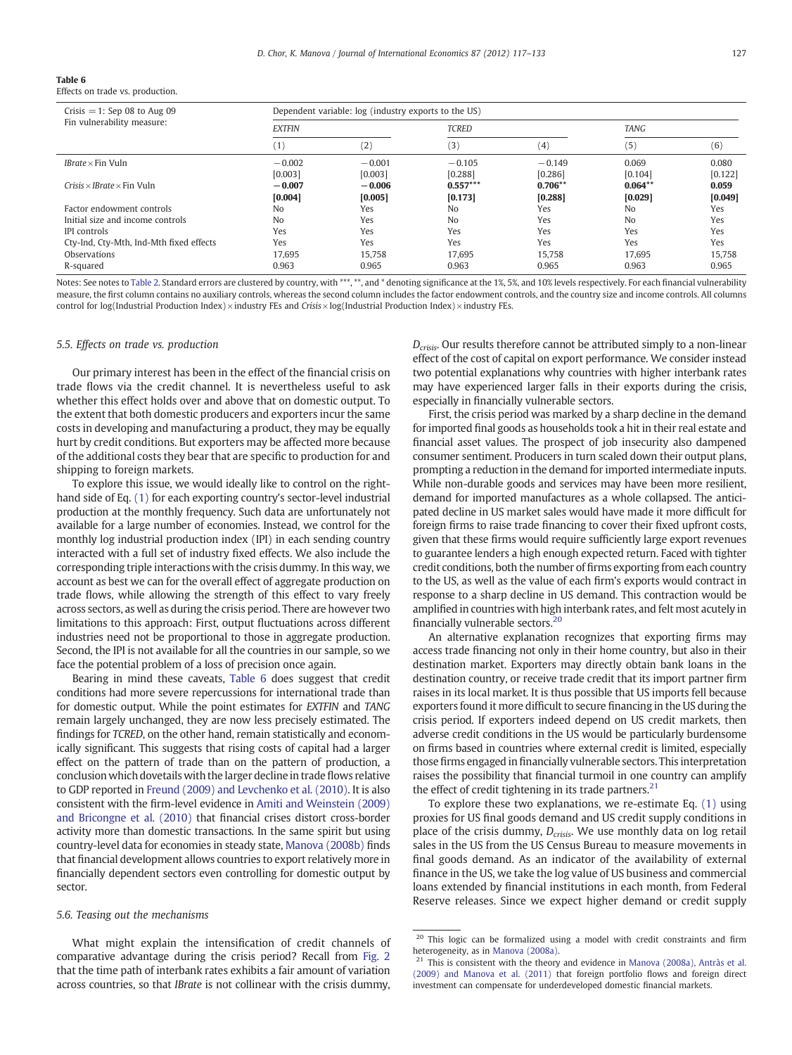#### Table 6

Effects on trade vs. production.

| Crisis $=$ 1: Sep 08 to Aug 09          | Dependent variable: log (industry exports to the US) |                     |                       |                      |                      |                  |  |  |  |
|-----------------------------------------|------------------------------------------------------|---------------------|-----------------------|----------------------|----------------------|------------------|--|--|--|
| Fin vulnerability measure:              | <b>EXTFIN</b>                                        |                     | <b>TCRED</b>          |                      | <b>TANG</b>          |                  |  |  |  |
|                                         | (1)                                                  | (2)                 | (3)                   | (4)                  | (5)                  | (6)              |  |  |  |
| <i>IBrate</i> $\times$ Fin Vuln         | $-0.002$<br>[0.003]                                  | $-0.001$<br>[0.003] | $-0.105$<br>[0.288]   | $-0.149$<br>[0.286]  | 0.069<br>[0.104]     | 0.080<br>[0.122] |  |  |  |
| $Crisis \times IBrate \times Fin$ Vuln  | $-0.007$<br>[0.004]                                  | $-0.006$<br>[0.005] | $0.557***$<br>[0.173] | $0.706**$<br>[0.288] | $0.064**$<br>[0.029] | 0.059<br>[0.049] |  |  |  |
| Factor endowment controls               | N <sub>0</sub>                                       | Yes                 | N <sub>0</sub>        | Yes                  | N <sub>o</sub>       | Yes              |  |  |  |
| Initial size and income controls        | No                                                   | Yes                 | N <sub>o</sub>        | Yes                  | No                   | Yes              |  |  |  |
| IPI controls                            | Yes                                                  | Yes                 | Yes                   | Yes                  | Yes                  | Yes              |  |  |  |
| Cty-Ind, Cty-Mth, Ind-Mth fixed effects | Yes                                                  | Yes                 | Yes                   | Yes                  | Yes                  | Yes              |  |  |  |
| Observations                            | 17.695                                               | 15.758              | 17.695                | 15.758               | 17.695               | 15.758           |  |  |  |
| R-squared                               | 0.963                                                | 0.965               | 0.963                 | 0.965                | 0.963                | 0.965            |  |  |  |

Notes: See notes to [Table 2](#page-6-0). Standard errors are clustered by country, with \*\*\*, \*\*, and \* denoting significance at the 1%, 5%, and 10% levels respectively. For each financial vulnerability measure, the first column contains no auxiliary controls, whereas the second column includes the factor endowment controls, and the country size and income controls. All columns control for log(Industrial Production Index)  $\times$  industry FEs and Crisis  $\times$  log(Industrial Production Index)  $\times$  industry FEs.

#### 5.5. Effects on trade vs. production

Our primary interest has been in the effect of the financial crisis on trade flows via the credit channel. It is nevertheless useful to ask whether this effect holds over and above that on domestic output. To the extent that both domestic producers and exporters incur the same costs in developing and manufacturing a product, they may be equally hurt by credit conditions. But exporters may be affected more because of the additional costs they bear that are specific to production for and shipping to foreign markets.

To explore this issue, we would ideally like to control on the righthand side of Eq. [\(1\)](#page-5-0) for each exporting country's sector-level industrial production at the monthly frequency. Such data are unfortunately not available for a large number of economies. Instead, we control for the monthly log industrial production index (IPI) in each sending country interacted with a full set of industry fixed effects. We also include the corresponding triple interactions with the crisis dummy. In this way, we account as best we can for the overall effect of aggregate production on trade flows, while allowing the strength of this effect to vary freely across sectors, as well as during the crisis period. There are however two limitations to this approach: First, output fluctuations across different industries need not be proportional to those in aggregate production. Second, the IPI is not available for all the countries in our sample, so we face the potential problem of a loss of precision once again.

Bearing in mind these caveats, Table 6 does suggest that credit conditions had more severe repercussions for international trade than for domestic output. While the point estimates for EXTFIN and TANG remain largely unchanged, they are now less precisely estimated. The findings for TCRED, on the other hand, remain statistically and economically significant. This suggests that rising costs of capital had a larger effect on the pattern of trade than on the pattern of production, a conclusion which dovetails with the larger decline in trade flows relative to GDP reported in [Freund \(2009\) and Levchenko et al. \(2010\).](#page-15-0) It is also consistent with the firm-level evidence in [Amiti and Weinstein \(2009\)](#page-15-0) [and Bricongne et al. \(2010\)](#page-15-0) that financial crises distort cross-border activity more than domestic transactions. In the same spirit but using country-level data for economies in steady state, [Manova \(2008b\)](#page-16-0) finds that financial development allows countries to export relatively more in financially dependent sectors even controlling for domestic output by sector.

#### 5.6. Teasing out the mechanisms

What might explain the intensification of credit channels of comparative advantage during the crisis period? Recall from [Fig. 2](#page-4-0) that the time path of interbank rates exhibits a fair amount of variation across countries, so that IBrate is not collinear with the crisis dummy,

 $D_{crisis}$ . Our results therefore cannot be attributed simply to a non-linear effect of the cost of capital on export performance. We consider instead two potential explanations why countries with higher interbank rates may have experienced larger falls in their exports during the crisis, especially in financially vulnerable sectors.

First, the crisis period was marked by a sharp decline in the demand for imported final goods as households took a hit in their real estate and financial asset values. The prospect of job insecurity also dampened consumer sentiment. Producers in turn scaled down their output plans, prompting a reduction in the demand for imported intermediate inputs. While non-durable goods and services may have been more resilient, demand for imported manufactures as a whole collapsed. The anticipated decline in US market sales would have made it more difficult for foreign firms to raise trade financing to cover their fixed upfront costs, given that these firms would require sufficiently large export revenues to guarantee lenders a high enough expected return. Faced with tighter credit conditions, both the number of firms exporting from each country to the US, as well as the value of each firm's exports would contract in response to a sharp decline in US demand. This contraction would be amplified in countries with high interbank rates, and felt most acutely in financially vulnerable sectors.<sup>20</sup>

An alternative explanation recognizes that exporting firms may access trade financing not only in their home country, but also in their destination market. Exporters may directly obtain bank loans in the destination country, or receive trade credit that its import partner firm raises in its local market. It is thus possible that US imports fell because exporters found it more difficult to secure financing in the US during the crisis period. If exporters indeed depend on US credit markets, then adverse credit conditions in the US would be particularly burdensome on firms based in countries where external credit is limited, especially those firms engaged in financially vulnerable sectors. This interpretation raises the possibility that financial turmoil in one country can amplify the effect of credit tightening in its trade partners. $21$ 

To explore these two explanations, we re-estimate Eq. [\(1\)](#page-5-0) using proxies for US final goods demand and US credit supply conditions in place of the crisis dummy,  $D_{crisis}$ . We use monthly data on log retail sales in the US from the US Census Bureau to measure movements in final goods demand. As an indicator of the availability of external finance in the US, we take the log value of US business and commercial loans extended by financial institutions in each month, from Federal Reserve releases. Since we expect higher demand or credit supply

 $20$  This logic can be formalized using a model with credit constraints and firm heterogeneity, as in [Manova \(2008a\).](#page-16-0)

<sup>21</sup> This is consistent with the theory and evidence in [Manova \(2008a\), Antràs et al.](#page-16-0) [\(2009\) and Manova et al. \(2011\)](#page-16-0) that foreign portfolio flows and foreign direct investment can compensate for underdeveloped domestic financial markets.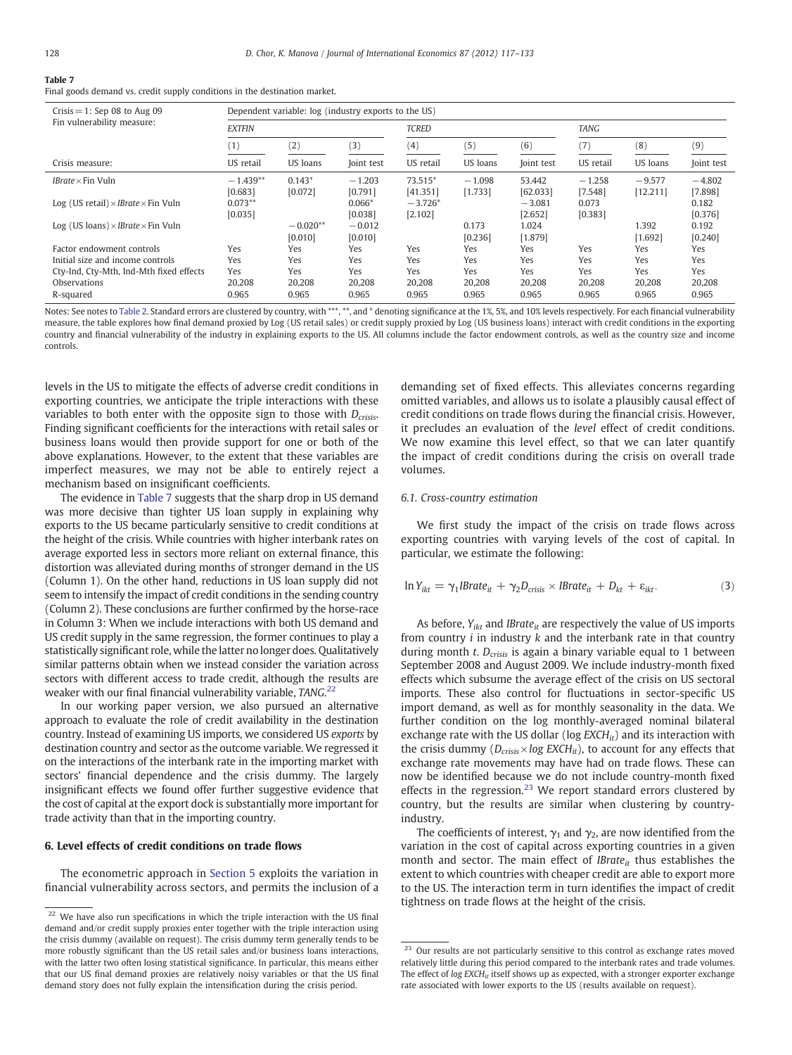#### <span id="page-11-0"></span>Table 7

Final goods demand vs. credit supply conditions in the destination market.

| Crisis $= 1$ : Sep 08 to Aug 09                                                                                                       | Dependent variable: log (industry exports to the US) |                                      |                                      |                                      |                                      |                                      |                                      |                                      |                                      |  |  |
|---------------------------------------------------------------------------------------------------------------------------------------|------------------------------------------------------|--------------------------------------|--------------------------------------|--------------------------------------|--------------------------------------|--------------------------------------|--------------------------------------|--------------------------------------|--------------------------------------|--|--|
| Fin vulnerability measure:                                                                                                            | <b>EXTFIN</b>                                        |                                      |                                      |                                      | <b>TCRED</b>                         |                                      |                                      | <b>TANG</b>                          |                                      |  |  |
|                                                                                                                                       | (1)                                                  | (2)                                  | (3)                                  | (4)                                  | (5)                                  | (6)                                  | (7)                                  | (8)                                  | (9)                                  |  |  |
| Crisis measure:                                                                                                                       | US retail                                            | US loans                             | Joint test                           | US retail                            | US loans                             | Joint test                           | US retail                            | US loans                             | Joint test                           |  |  |
| <i>IBrate</i> $\times$ Fin Vuln                                                                                                       | $-1.439**$<br>[0.683]                                | $0.143*$<br>[0.072]                  | $-1.203$<br>[0.791]                  | 73.515*<br>[41.351]                  | $-1.098$<br>[1.733]                  | 53.442<br>[62.033]                   | $-1.258$<br>[7.548]                  | $-9.577$<br>[12.211]                 | $-4.802$<br>[7.898]                  |  |  |
| Log (US retail) $\times$ <i>IBrate</i> $\times$ Fin Vuln                                                                              | $0.073**$<br>[0.035]                                 |                                      | $0.066*$<br>[0.038]                  | $-3.726*$<br>[2.102]                 |                                      | $-3.081$<br>[2.652]                  | 0.073<br>[0.383]                     |                                      | 0.182<br>[0.376]                     |  |  |
| Log (US loans) $\times$ <i>IBrate</i> $\times$ Fin Vuln                                                                               |                                                      | $-0.020**$<br>[0.010]                | $-0.012$<br>[0.010]                  |                                      | 0.173<br>[0.236]                     | 1.024<br>[1.879]                     |                                      | 1.392<br>[1.692]                     | 0.192<br>[0.240]                     |  |  |
| Factor endowment controls<br>Initial size and income controls<br>Cty-Ind, Cty-Mth, Ind-Mth fixed effects<br>Observations<br>R-squared | Yes<br>Yes<br>Yes<br>20,208<br>0.965                 | Yes<br>Yes<br>Yes<br>20,208<br>0.965 | Yes<br>Yes<br>Yes<br>20,208<br>0.965 | Yes<br>Yes<br>Yes<br>20,208<br>0.965 | Yes<br>Yes<br>Yes<br>20,208<br>0.965 | Yes<br>Yes<br>Yes<br>20,208<br>0.965 | Yes<br>Yes<br>Yes<br>20,208<br>0.965 | Yes<br>Yes<br>Yes<br>20,208<br>0.965 | Yes<br>Yes<br>Yes<br>20,208<br>0.965 |  |  |

Notes: See notes to [Table 2](#page-6-0). Standard errors are clustered by country, with \*\*\*, \*\*, and \* denoting significance at the 1%, 5%, and 10% levels respectively. For each financial vulnerability measure, the table explores how final demand proxied by Log (US retail sales) or credit supply proxied by Log (US business loans) interact with credit conditions in the exporting country and financial vulnerability of the industry in explaining exports to the US. All columns include the factor endowment controls, as well as the country size and income controls.

levels in the US to mitigate the effects of adverse credit conditions in exporting countries, we anticipate the triple interactions with these variables to both enter with the opposite sign to those with  $D_{crisis}$ . Finding significant coefficients for the interactions with retail sales or business loans would then provide support for one or both of the above explanations. However, to the extent that these variables are imperfect measures, we may not be able to entirely reject a mechanism based on insignificant coefficients.

The evidence in Table 7 suggests that the sharp drop in US demand was more decisive than tighter US loan supply in explaining why exports to the US became particularly sensitive to credit conditions at the height of the crisis. While countries with higher interbank rates on average exported less in sectors more reliant on external finance, this distortion was alleviated during months of stronger demand in the US (Column 1). On the other hand, reductions in US loan supply did not seem to intensify the impact of credit conditions in the sending country (Column 2). These conclusions are further confirmed by the horse-race in Column 3: When we include interactions with both US demand and US credit supply in the same regression, the former continues to play a statistically significant role, while the latter no longer does. Qualitatively similar patterns obtain when we instead consider the variation across sectors with different access to trade credit, although the results are weaker with our final financial vulnerability variable, TANG.<sup>22</sup>

In our working paper version, we also pursued an alternative approach to evaluate the role of credit availability in the destination country. Instead of examining US imports, we considered US exports by destination country and sector as the outcome variable. We regressed it on the interactions of the interbank rate in the importing market with sectors' financial dependence and the crisis dummy. The largely insignificant effects we found offer further suggestive evidence that the cost of capital at the export dock is substantially more important for trade activity than that in the importing country.

#### 6. Level effects of credit conditions on trade flows

The econometric approach in [Section 5](#page-5-0) exploits the variation in financial vulnerability across sectors, and permits the inclusion of a demanding set of fixed effects. This alleviates concerns regarding omitted variables, and allows us to isolate a plausibly causal effect of credit conditions on trade flows during the financial crisis. However, it precludes an evaluation of the level effect of credit conditions. We now examine this level effect, so that we can later quantify the impact of credit conditions during the crisis on overall trade volumes.

#### 6.1. Cross-country estimation

We first study the impact of the crisis on trade flows across exporting countries with varying levels of the cost of capital. In particular, we estimate the following:

$$
\ln Y_{ikt} = \gamma_1 \text{Brate}_{it} + \gamma_2 D_{crisis} \times \text{Brate}_{it} + D_{kt} + \varepsilon_{ikt}.
$$
 (3)

As before,  $Y_{ikt}$  and *IBrate<sub>it</sub>* are respectively the value of US imports from country  $i$  in industry  $k$  and the interbank rate in that country during month t.  $D_{crisis}$  is again a binary variable equal to 1 between September 2008 and August 2009. We include industry-month fixed effects which subsume the average effect of the crisis on US sectoral imports. These also control for fluctuations in sector-specific US import demand, as well as for monthly seasonality in the data. We further condition on the log monthly-averaged nominal bilateral exchange rate with the US dollar ( $log EXCH_{it}$ ) and its interaction with the crisis dummy ( $D_{crisis} \times log EXCH_{it}$ ), to account for any effects that exchange rate movements may have had on trade flows. These can now be identified because we do not include country-month fixed effects in the regression. $23$  We report standard errors clustered by country, but the results are similar when clustering by countryindustry.

The coefficients of interest,  $\gamma_1$  and  $\gamma_2$ , are now identified from the variation in the cost of capital across exporting countries in a given month and sector. The main effect of *IBrate*<sub>it</sub> thus establishes the extent to which countries with cheaper credit are able to export more to the US. The interaction term in turn identifies the impact of credit tightness on trade flows at the height of the crisis.

 $22$  We have also run specifications in which the triple interaction with the US final demand and/or credit supply proxies enter together with the triple interaction using the crisis dummy (available on request). The crisis dummy term generally tends to be more robustly significant than the US retail sales and/or business loans interactions, with the latter two often losing statistical significance. In particular, this means either that our US final demand proxies are relatively noisy variables or that the US final demand story does not fully explain the intensification during the crisis period.

<sup>&</sup>lt;sup>23</sup> Our results are not particularly sensitive to this control as exchange rates moved relatively little during this period compared to the interbank rates and trade volumes. The effect of log  $EXCH_{it}$  itself shows up as expected, with a stronger exporter exchange rate associated with lower exports to the US (results available on request).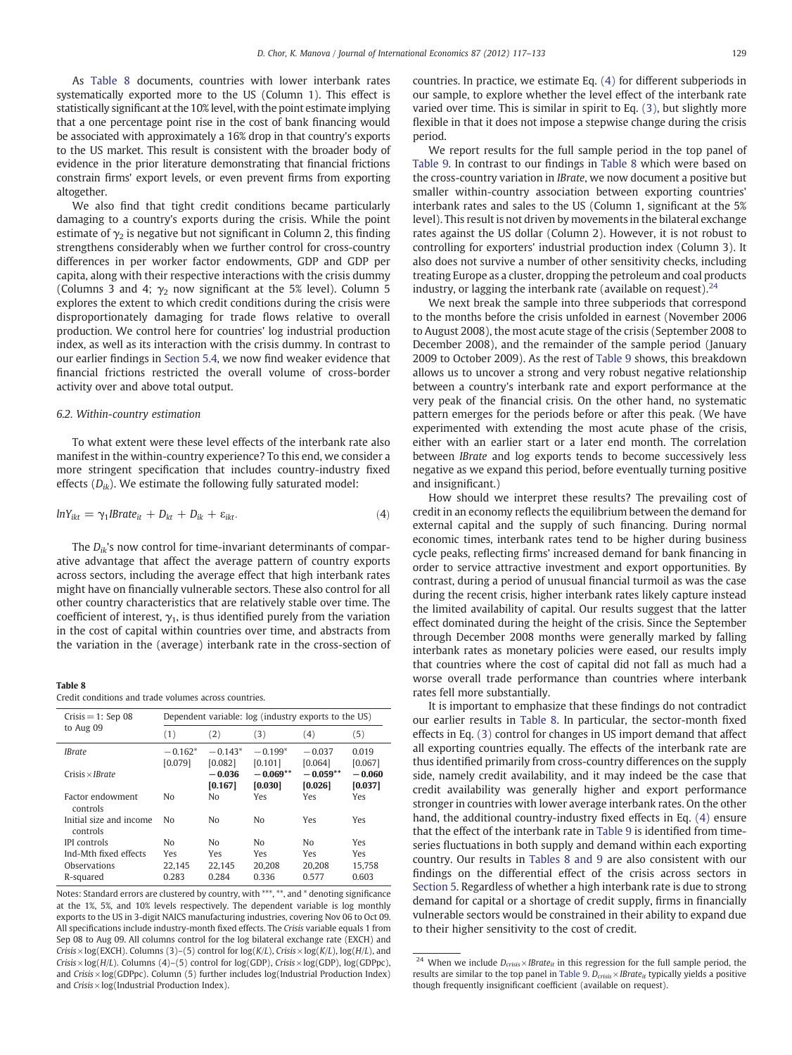<span id="page-12-0"></span>As Table 8 documents, countries with lower interbank rates systematically exported more to the US (Column 1). This effect is statistically significant at the 10% level, with the point estimate implying that a one percentage point rise in the cost of bank financing would be associated with approximately a 16% drop in that country's exports to the US market. This result is consistent with the broader body of evidence in the prior literature demonstrating that financial frictions constrain firms' export levels, or even prevent firms from exporting altogether.

We also find that tight credit conditions became particularly damaging to a country's exports during the crisis. While the point estimate of  $\gamma_2$  is negative but not significant in Column 2, this finding strengthens considerably when we further control for cross-country differences in per worker factor endowments, GDP and GDP per capita, along with their respective interactions with the crisis dummy (Columns 3 and 4;  $\gamma_2$  now significant at the 5% level). Column 5 explores the extent to which credit conditions during the crisis were disproportionately damaging for trade flows relative to overall production. We control here for countries' log industrial production index, as well as its interaction with the crisis dummy. In contrast to our earlier findings in [Section 5.4](#page-9-0), we now find weaker evidence that financial frictions restricted the overall volume of cross-border activity over and above total output.

#### 6.2. Within-country estimation

To what extent were these level effects of the interbank rate also manifest in the within-country experience? To this end, we consider a more stringent specification that includes country-industry fixed effects  $(D_{ik})$ . We estimate the following fully saturated model:

$$
lnY_{ikt} = \gamma_1 B rate_{it} + D_{kt} + D_{ik} + \varepsilon_{ikt}.
$$
\n(4)

The  $D_{ik}$ 's now control for time-invariant determinants of comparative advantage that affect the average pattern of country exports across sectors, including the average effect that high interbank rates might have on financially vulnerable sectors. These also control for all other country characteristics that are relatively stable over time. The coefficient of interest,  $\gamma_1$ , is thus identified purely from the variation in the cost of capital within countries over time, and abstracts from the variation in the (average) interbank rate in the cross-section of

#### Table 8

Credit conditions and trade volumes across countries.

| $Crisis = 1$ : Sep 08               | Dependent variable: log (industry exports to the US) |                      |                       |                       |                     |  |  |  |
|-------------------------------------|------------------------------------------------------|----------------------|-----------------------|-----------------------|---------------------|--|--|--|
| to Aug 09                           | (1)                                                  | (2)                  | (3)                   | (4)                   | (5)                 |  |  |  |
| <i><u><b>IBrate</b></u></i>         | $-0.162*$<br>[0.079]                                 | $-0.143*$<br>[0.082] | $-0.199*$<br>[0.101]  | $-0.037$<br>[0.064]   | 0.019<br>[0.067]    |  |  |  |
| Crisis $\times$ <i>IBrate</i>       |                                                      | $-0.036$<br>[0.167]  | $-0.069**$<br>[0.030] | $-0.059**$<br>[0.026] | $-0.060$<br>[0.037] |  |  |  |
| Factor endowment<br>controls        | No                                                   | No.                  | Yes                   | Yes                   | Yes                 |  |  |  |
| Initial size and income<br>controls | No                                                   | N <sub>0</sub>       | No                    | Yes                   | Yes                 |  |  |  |
| <b>IPI</b> controls                 | No                                                   | N <sub>0</sub>       | No                    | No                    | Yes                 |  |  |  |
| Ind-Mth fixed effects               | Yes                                                  | Yes                  | Yes                   | Yes                   | Yes                 |  |  |  |
| Observations                        | 22,145                                               | 22.145               | 20.208                | 20.208                | 15.758              |  |  |  |
| R-squared                           | 0.283                                                | 0.284                | 0.336                 | 0.577                 | 0.603               |  |  |  |

Notes: Standard errors are clustered by country, with \*\*\*, \*\*, and \* denoting significance at the 1%, 5%, and 10% levels respectively. The dependent variable is log monthly exports to the US in 3-digit NAICS manufacturing industries, covering Nov 06 to Oct 09. All specifications include industry-month fixed effects. The Crisis variable equals 1 from Sep 08 to Aug 09. All columns control for the log bilateral exchange rate (EXCH) and Crisis  $\times$  log(EXCH). Columns (3)–(5) control for log(K/L), Crisis  $\times$  log(K/L), log(H/L), and  $Crisis \times log(H/L)$ . Columns (4)–(5) control for log(GDP), Crisis  $\times log(GDP)$ , log(GDPpc), and  $Crisis \times log(GDPpc)$ . Column (5) further includes  $log(Industrial\ Production\ Index)$ and  $Crisis \times log(Industrial)$  Production Index).

countries. In practice, we estimate Eq. (4) for different subperiods in our sample, to explore whether the level effect of the interbank rate varied over time. This is similar in spirit to Eq. [\(3\)](#page-11-0), but slightly more flexible in that it does not impose a stepwise change during the crisis period.

We report results for the full sample period in the top panel of [Table 9](#page-13-0). In contrast to our findings in Table 8 which were based on the cross-country variation in IBrate, we now document a positive but smaller within-country association between exporting countries' interbank rates and sales to the US (Column 1, significant at the 5% level). This result is not driven by movements in the bilateral exchange rates against the US dollar (Column 2). However, it is not robust to controlling for exporters' industrial production index (Column 3). It also does not survive a number of other sensitivity checks, including treating Europe as a cluster, dropping the petroleum and coal products industry, or lagging the interbank rate (available on request).  $24$ 

We next break the sample into three subperiods that correspond to the months before the crisis unfolded in earnest (November 2006 to August 2008), the most acute stage of the crisis (September 2008 to December 2008), and the remainder of the sample period (January 2009 to October 2009). As the rest of [Table 9](#page-13-0) shows, this breakdown allows us to uncover a strong and very robust negative relationship between a country's interbank rate and export performance at the very peak of the financial crisis. On the other hand, no systematic pattern emerges for the periods before or after this peak. (We have experimented with extending the most acute phase of the crisis, either with an earlier start or a later end month. The correlation between IBrate and log exports tends to become successively less negative as we expand this period, before eventually turning positive and insignificant.)

How should we interpret these results? The prevailing cost of credit in an economy reflects the equilibrium between the demand for external capital and the supply of such financing. During normal economic times, interbank rates tend to be higher during business cycle peaks, reflecting firms' increased demand for bank financing in order to service attractive investment and export opportunities. By contrast, during a period of unusual financial turmoil as was the case during the recent crisis, higher interbank rates likely capture instead the limited availability of capital. Our results suggest that the latter effect dominated during the height of the crisis. Since the September through December 2008 months were generally marked by falling interbank rates as monetary policies were eased, our results imply that countries where the cost of capital did not fall as much had a worse overall trade performance than countries where interbank rates fell more substantially.

It is important to emphasize that these findings do not contradict our earlier results in Table 8. In particular, the sector-month fixed effects in Eq. [\(3\)](#page-11-0) control for changes in US import demand that affect all exporting countries equally. The effects of the interbank rate are thus identified primarily from cross-country differences on the supply side, namely credit availability, and it may indeed be the case that credit availability was generally higher and export performance stronger in countries with lower average interbank rates. On the other hand, the additional country-industry fixed effects in Eq. (4) ensure that the effect of the interbank rate in [Table 9](#page-13-0) is identified from timeseries fluctuations in both supply and demand within each exporting country. Our results in Tables 8 and 9 are also consistent with our findings on the differential effect of the crisis across sectors in [Section 5](#page-5-0). Regardless of whether a high interbank rate is due to strong demand for capital or a shortage of credit supply, firms in financially vulnerable sectors would be constrained in their ability to expand due to their higher sensitivity to the cost of credit.

<sup>&</sup>lt;sup>24</sup> When we include  $D_{crisis} \times IBrate_{it}$  in this regression for the full sample period, the results are similar to the top panel in [Table 9.](#page-13-0)  $D_{crisis} \times IBrate_{it}$  typically yields a positive though frequently insignificant coefficient (available on request).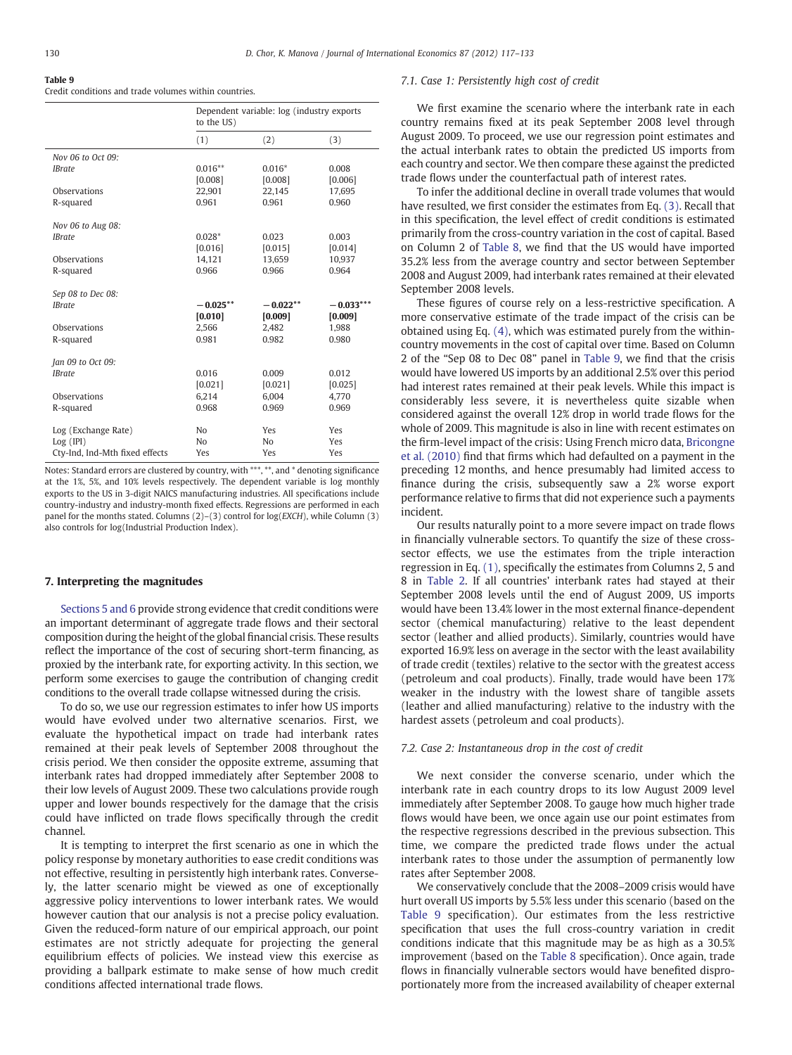#### <span id="page-13-0"></span>Table 9

Credit conditions and trade volumes within countries.

|                                | Dependent variable: log (industry exports<br>to the US) |                |             |  |  |  |
|--------------------------------|---------------------------------------------------------|----------------|-------------|--|--|--|
|                                | (1)                                                     | (2)            | (3)         |  |  |  |
| Nov 06 to Oct 09:              |                                                         |                |             |  |  |  |
| <b>IBrate</b>                  | $0.016**$                                               | $0.016*$       | 0.008       |  |  |  |
|                                | [0.008]                                                 | [0.008]        | [0.006]     |  |  |  |
| Observations                   | 22,901                                                  | 22,145         | 17,695      |  |  |  |
| R-squared                      | 0.961                                                   | 0.961          | 0.960       |  |  |  |
| Nov 06 to Aug 08:              |                                                         |                |             |  |  |  |
| <b>IBrate</b>                  | $0.028*$                                                | 0.023          | 0.003       |  |  |  |
|                                | [0.016]                                                 | [0.015]        | [0.014]     |  |  |  |
| Observations                   | 14.121                                                  | 13,659         | 10.937      |  |  |  |
| R-squared                      | 0.966                                                   | 0.966          | 0.964       |  |  |  |
|                                |                                                         |                |             |  |  |  |
| Sep 08 to Dec 08:              |                                                         |                |             |  |  |  |
| <b>IBrate</b>                  | $-0.025**$                                              | $-0.022**$     | $-0.033***$ |  |  |  |
|                                | [0.010]                                                 | [0.009]        | [0.009]     |  |  |  |
| Observations                   | 2.566                                                   | 2.482          | 1.988       |  |  |  |
| R-squared                      | 0.981                                                   | 0.982          | 0.980       |  |  |  |
|                                |                                                         |                |             |  |  |  |
| Jan 09 to Oct 09:              |                                                         |                |             |  |  |  |
| <b>IBrate</b>                  | 0.016                                                   | 0.009          | 0.012       |  |  |  |
|                                | [0.021]                                                 | [0.021]        | [0.025]     |  |  |  |
| Observations                   | 6,214                                                   | 6,004          | 4,770       |  |  |  |
| R-squared                      | 0.968                                                   | 0.969          | 0.969       |  |  |  |
| Log (Exchange Rate)            | No                                                      | <b>Yes</b>     | Yes         |  |  |  |
| Log (IPI)                      | No                                                      | N <sub>0</sub> | Yes         |  |  |  |
| Cty-Ind, Ind-Mth fixed effects | Yes                                                     | Yes            | Yes         |  |  |  |

Notes: Standard errors are clustered by country, with \*\*\*, \*\*, and \* denoting significance at the 1%, 5%, and 10% levels respectively. The dependent variable is log monthly exports to the US in 3-digit NAICS manufacturing industries. All specifications include country-industry and industry-month fixed effects. Regressions are performed in each panel for the months stated. Columns (2)–(3) control for log(EXCH), while Column (3) also controls for log(Industrial Production Index).

#### 7. Interpreting the magnitudes

[Sections 5 and 6](#page-5-0) provide strong evidence that credit conditions were an important determinant of aggregate trade flows and their sectoral composition during the height of the global financial crisis. These results reflect the importance of the cost of securing short-term financing, as proxied by the interbank rate, for exporting activity. In this section, we perform some exercises to gauge the contribution of changing credit conditions to the overall trade collapse witnessed during the crisis.

To do so, we use our regression estimates to infer how US imports would have evolved under two alternative scenarios. First, we evaluate the hypothetical impact on trade had interbank rates remained at their peak levels of September 2008 throughout the crisis period. We then consider the opposite extreme, assuming that interbank rates had dropped immediately after September 2008 to their low levels of August 2009. These two calculations provide rough upper and lower bounds respectively for the damage that the crisis could have inflicted on trade flows specifically through the credit channel.

It is tempting to interpret the first scenario as one in which the policy response by monetary authorities to ease credit conditions was not effective, resulting in persistently high interbank rates. Conversely, the latter scenario might be viewed as one of exceptionally aggressive policy interventions to lower interbank rates. We would however caution that our analysis is not a precise policy evaluation. Given the reduced-form nature of our empirical approach, our point estimates are not strictly adequate for projecting the general equilibrium effects of policies. We instead view this exercise as providing a ballpark estimate to make sense of how much credit conditions affected international trade flows.

#### 7.1. Case 1: Persistently high cost of credit

We first examine the scenario where the interbank rate in each country remains fixed at its peak September 2008 level through August 2009. To proceed, we use our regression point estimates and the actual interbank rates to obtain the predicted US imports from each country and sector. We then compare these against the predicted trade flows under the counterfactual path of interest rates.

To infer the additional decline in overall trade volumes that would have resulted, we first consider the estimates from Eq. [\(3\).](#page-11-0) Recall that in this specification, the level effect of credit conditions is estimated primarily from the cross-country variation in the cost of capital. Based on Column 2 of [Table 8](#page-12-0), we find that the US would have imported 35.2% less from the average country and sector between September 2008 and August 2009, had interbank rates remained at their elevated September 2008 levels.

These figures of course rely on a less-restrictive specification. A more conservative estimate of the trade impact of the crisis can be obtained using Eq. [\(4\),](#page-12-0) which was estimated purely from the withincountry movements in the cost of capital over time. Based on Column 2 of the "Sep 08 to Dec 08" panel in Table 9, we find that the crisis would have lowered US imports by an additional 2.5% over this period had interest rates remained at their peak levels. While this impact is considerably less severe, it is nevertheless quite sizable when considered against the overall 12% drop in world trade flows for the whole of 2009. This magnitude is also in line with recent estimates on the firm-level impact of the crisis: Using French micro data, [Bricongne](#page-15-0) [et al. \(2010\)](#page-15-0) find that firms which had defaulted on a payment in the preceding 12 months, and hence presumably had limited access to finance during the crisis, subsequently saw a 2% worse export performance relative to firms that did not experience such a payments incident.

Our results naturally point to a more severe impact on trade flows in financially vulnerable sectors. To quantify the size of these crosssector effects, we use the estimates from the triple interaction regression in Eq. [\(1\),](#page-5-0) specifically the estimates from Columns 2, 5 and 8 in [Table 2.](#page-6-0) If all countries' interbank rates had stayed at their September 2008 levels until the end of August 2009, US imports would have been 13.4% lower in the most external finance-dependent sector (chemical manufacturing) relative to the least dependent sector (leather and allied products). Similarly, countries would have exported 16.9% less on average in the sector with the least availability of trade credit (textiles) relative to the sector with the greatest access (petroleum and coal products). Finally, trade would have been 17% weaker in the industry with the lowest share of tangible assets (leather and allied manufacturing) relative to the industry with the hardest assets (petroleum and coal products).

#### 7.2. Case 2: Instantaneous drop in the cost of credit

We next consider the converse scenario, under which the interbank rate in each country drops to its low August 2009 level immediately after September 2008. To gauge how much higher trade flows would have been, we once again use our point estimates from the respective regressions described in the previous subsection. This time, we compare the predicted trade flows under the actual interbank rates to those under the assumption of permanently low rates after September 2008.

We conservatively conclude that the 2008–2009 crisis would have hurt overall US imports by 5.5% less under this scenario (based on the Table 9 specification). Our estimates from the less restrictive specification that uses the full cross-country variation in credit conditions indicate that this magnitude may be as high as a 30.5% improvement (based on the [Table 8](#page-12-0) specification). Once again, trade flows in financially vulnerable sectors would have benefited disproportionately more from the increased availability of cheaper external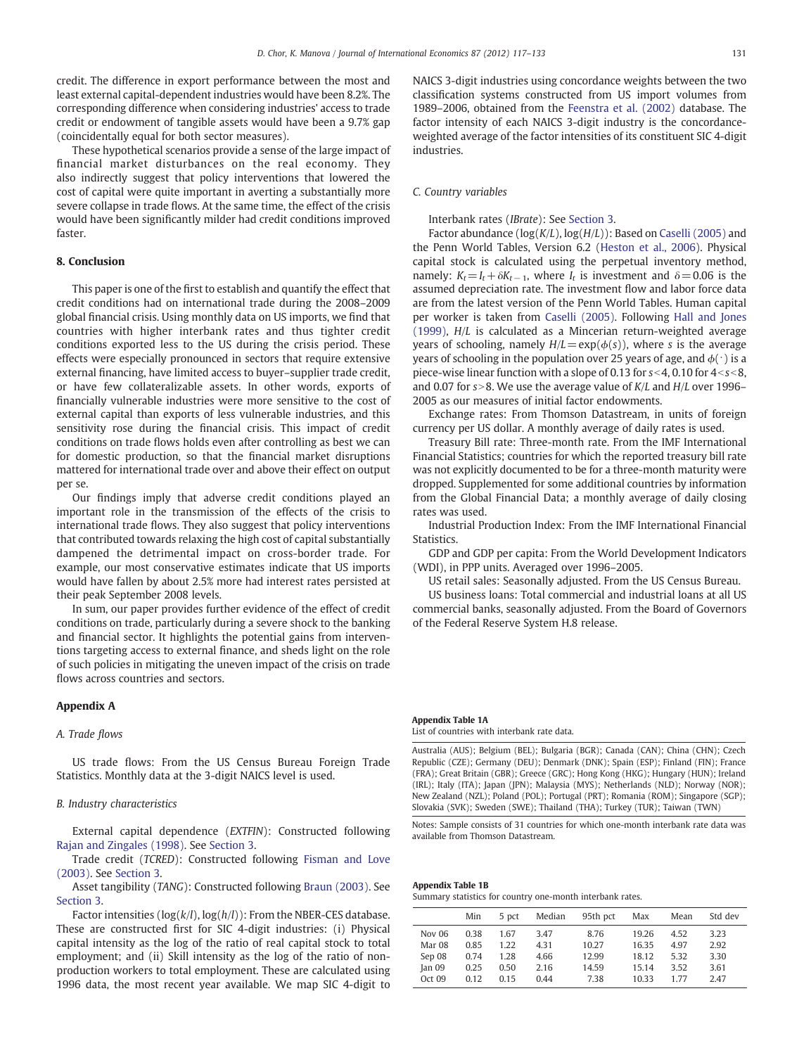<span id="page-14-0"></span>credit. The difference in export performance between the most and least external capital-dependent industries would have been 8.2%. The corresponding difference when considering industries' access to trade credit or endowment of tangible assets would have been a 9.7% gap (coincidentally equal for both sector measures).

These hypothetical scenarios provide a sense of the large impact of financial market disturbances on the real economy. They also indirectly suggest that policy interventions that lowered the cost of capital were quite important in averting a substantially more severe collapse in trade flows. At the same time, the effect of the crisis would have been significantly milder had credit conditions improved faster.

### 8. Conclusion

This paper is one of the first to establish and quantify the effect that credit conditions had on international trade during the 2008–2009 global financial crisis. Using monthly data on US imports, we find that countries with higher interbank rates and thus tighter credit conditions exported less to the US during the crisis period. These effects were especially pronounced in sectors that require extensive external financing, have limited access to buyer–supplier trade credit, or have few collateralizable assets. In other words, exports of financially vulnerable industries were more sensitive to the cost of external capital than exports of less vulnerable industries, and this sensitivity rose during the financial crisis. This impact of credit conditions on trade flows holds even after controlling as best we can for domestic production, so that the financial market disruptions mattered for international trade over and above their effect on output per se.

Our findings imply that adverse credit conditions played an important role in the transmission of the effects of the crisis to international trade flows. They also suggest that policy interventions that contributed towards relaxing the high cost of capital substantially dampened the detrimental impact on cross-border trade. For example, our most conservative estimates indicate that US imports would have fallen by about 2.5% more had interest rates persisted at their peak September 2008 levels.

In sum, our paper provides further evidence of the effect of credit conditions on trade, particularly during a severe shock to the banking and financial sector. It highlights the potential gains from interventions targeting access to external finance, and sheds light on the role of such policies in mitigating the uneven impact of the crisis on trade flows across countries and sectors.

#### Appendix A

#### A. Trade flows

US trade flows: From the US Census Bureau Foreign Trade Statistics. Monthly data at the 3-digit NAICS level is used.

#### B. Industry characteristics

External capital dependence (EXTFIN): Constructed following [Rajan and Zingales \(1998\).](#page-16-0) See [Section 3](#page-2-0).

Trade credit (TCRED): Constructed following [Fisman and Love](#page-15-0) [\(2003\).](#page-15-0) See [Section 3](#page-2-0).

Asset tangibility (TANG): Constructed following [Braun \(2003\)](#page-15-0). See [Section 3.](#page-2-0)

Factor intensities  $(log(k/l), log(h/l))$ : From the NBER-CES database. These are constructed first for SIC 4-digit industries: (i) Physical capital intensity as the log of the ratio of real capital stock to total employment; and (ii) Skill intensity as the log of the ratio of nonproduction workers to total employment. These are calculated using 1996 data, the most recent year available. We map SIC 4-digit to NAICS 3-digit industries using concordance weights between the two classification systems constructed from US import volumes from 1989–2006, obtained from the [Feenstra et al. \(2002\)](#page-15-0) database. The factor intensity of each NAICS 3-digit industry is the concordanceweighted average of the factor intensities of its constituent SIC 4-digit industries.

#### C. Country variables

Interbank rates (IBrate): See [Section 3](#page-2-0).

Factor abundance (log(K/L), log(H/L)): Based on [Caselli \(2005\)](#page-15-0) and the Penn World Tables, Version 6.2 ([Heston et al., 2006](#page-16-0)). Physical capital stock is calculated using the perpetual inventory method, namely:  $K_t = I_t + \delta K_{t-1}$ , where  $I_t$  is investment and  $\delta = 0.06$  is the assumed depreciation rate. The investment flow and labor force data are from the latest version of the Penn World Tables. Human capital per worker is taken from [Caselli \(2005\)](#page-15-0). Following [Hall and Jones](#page-16-0) [\(1999\),](#page-16-0) H/L is calculated as a Mincerian return-weighted average years of schooling, namely  $H/L = \exp(\phi(s))$ , where s is the average years of schooling in the population over 25 years of age, and  $\phi(\cdot)$  is a piece-wise linear function with a slope of 0.13 for  $s<$  4, 0.10 for  $4 < s < 8$ , and 0.07 for  $s > 8$ . We use the average value of  $K/L$  and  $H/L$  over 1996– 2005 as our measures of initial factor endowments.

Exchange rates: From Thomson Datastream, in units of foreign currency per US dollar. A monthly average of daily rates is used.

Treasury Bill rate: Three-month rate. From the IMF International Financial Statistics; countries for which the reported treasury bill rate was not explicitly documented to be for a three-month maturity were dropped. Supplemented for some additional countries by information from the Global Financial Data; a monthly average of daily closing rates was used.

Industrial Production Index: From the IMF International Financial Statistics.

GDP and GDP per capita: From the World Development Indicators (WDI), in PPP units. Averaged over 1996–2005.

US retail sales: Seasonally adjusted. From the US Census Bureau.

US business loans: Total commercial and industrial loans at all US commercial banks, seasonally adjusted. From the Board of Governors of the Federal Reserve System H.8 release.

#### Appendix Table 1A

List of countries with interbank rate data.

Australia (AUS); Belgium (BEL); Bulgaria (BGR); Canada (CAN); China (CHN); Czech Republic (CZE); Germany (DEU); Denmark (DNK); Spain (ESP); Finland (FIN); France (FRA); Great Britain (GBR); Greece (GRC); Hong Kong (HKG); Hungary (HUN); Ireland (IRL); Italy (ITA); Japan (JPN); Malaysia (MYS); Netherlands (NLD); Norway (NOR); New Zealand (NZL); Poland (POL); Portugal (PRT); Romania (ROM); Singapore (SGP); Slovakia (SVK); Sweden (SWE); Thailand (THA); Turkey (TUR); Taiwan (TWN)

Notes: Sample consists of 31 countries for which one-month interbank rate data was available from Thomson Datastream.

#### Appendix Table 1B Summary statistics for country one-month interbank rates.

|                   | Min  | 5 pct | Median | 95th pct | Max   | Mean | Std dev |
|-------------------|------|-------|--------|----------|-------|------|---------|
| Nov 06            | 0.38 | 1.67  | 3.47   | 8.76     | 19.26 | 4.52 | 3.23    |
| Mar 08            | 0.85 | 1.22  | 4.31   | 10.27    | 16.35 | 4.97 | 2.92    |
| Sep 08            | 0.74 | 1.28  | 4.66   | 12.99    | 18.12 | 5.32 | 3.30    |
| Jan <sub>09</sub> | 0.25 | 0.50  | 2.16   | 14.59    | 15.14 | 3.52 | 3.61    |
| Oct 09            | 0.12 | 015   | 0.44   | 7.38     | 10.33 | 177  | 2.47    |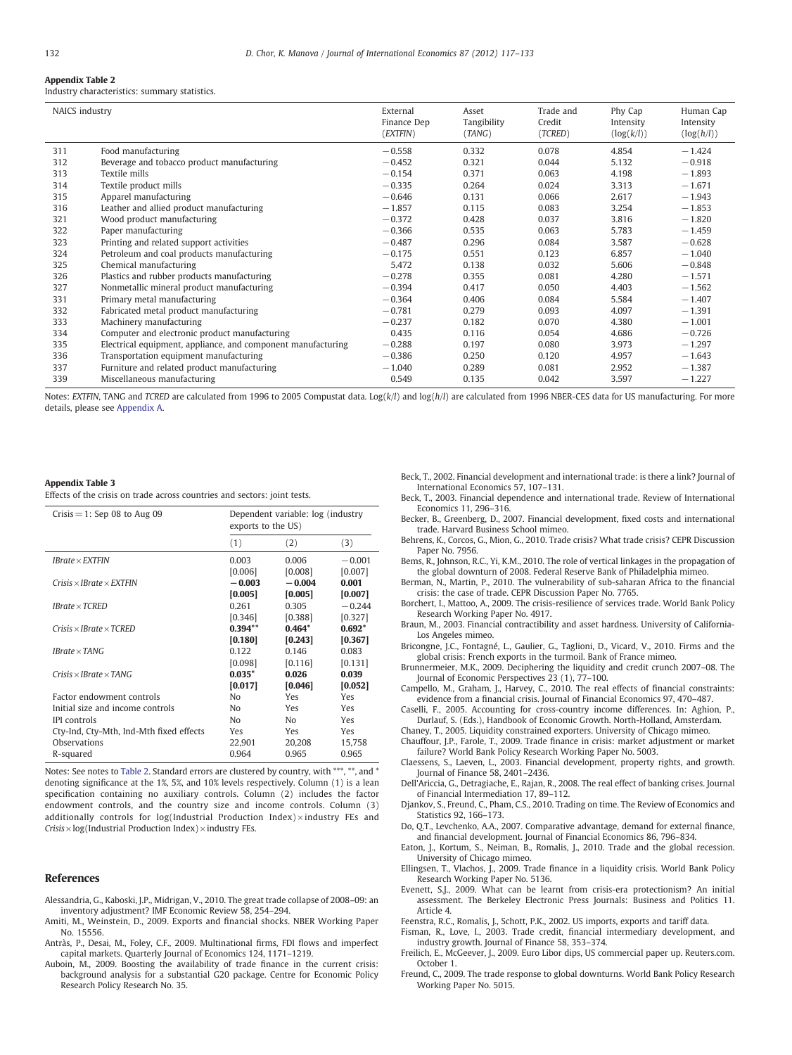#### <span id="page-15-0"></span>Appendix Table 2

Industry characteristics: summary statistics.

| NAICS industry |                                                              | External<br>Finance Dep<br>(EXTFIN) | Asset<br>Tangibility<br>(TANG) | Trade and<br>Credit<br>(TCRED) | Phy Cap<br>Intensity<br>$(\log(k/l))$ | Human Cap<br>Intensity<br>(log(h/l)) |
|----------------|--------------------------------------------------------------|-------------------------------------|--------------------------------|--------------------------------|---------------------------------------|--------------------------------------|
| 311            | Food manufacturing                                           | $-0.558$                            | 0.332                          | 0.078                          | 4.854                                 | $-1.424$                             |
| 312            | Beverage and tobacco product manufacturing                   | $-0.452$                            | 0.321                          | 0.044                          | 5.132                                 | $-0.918$                             |
| 313            | Textile mills                                                | $-0.154$                            | 0.371                          | 0.063                          | 4.198                                 | $-1.893$                             |
| 314            | Textile product mills                                        | $-0.335$                            | 0.264                          | 0.024                          | 3.313                                 | $-1.671$                             |
| 315            | Apparel manufacturing                                        | $-0.646$                            | 0.131                          | 0.066                          | 2.617                                 | $-1.943$                             |
| 316            | Leather and allied product manufacturing                     | $-1.857$                            | 0.115                          | 0.083                          | 3.254                                 | $-1.853$                             |
| 321            | Wood product manufacturing                                   | $-0.372$                            | 0.428                          | 0.037                          | 3.816                                 | $-1.820$                             |
| 322            | Paper manufacturing                                          | $-0.366$                            | 0.535                          | 0.063                          | 5.783                                 | $-1.459$                             |
| 323            | Printing and related support activities                      | $-0.487$                            | 0.296                          | 0.084                          | 3.587                                 | $-0.628$                             |
| 324            | Petroleum and coal products manufacturing                    | $-0.175$                            | 0.551                          | 0.123                          | 6.857                                 | $-1.040$                             |
| 325            | Chemical manufacturing                                       | 5.472                               | 0.138                          | 0.032                          | 5.606                                 | $-0.848$                             |
| 326            | Plastics and rubber products manufacturing                   | $-0.278$                            | 0.355                          | 0.081                          | 4.280                                 | $-1.571$                             |
| 327            | Nonmetallic mineral product manufacturing                    | $-0.394$                            | 0.417                          | 0.050                          | 4.403                                 | $-1.562$                             |
| 331            | Primary metal manufacturing                                  | $-0.364$                            | 0.406                          | 0.084                          | 5.584                                 | $-1.407$                             |
| 332            | Fabricated metal product manufacturing                       | $-0.781$                            | 0.279                          | 0.093                          | 4.097                                 | $-1.391$                             |
| 333            | Machinery manufacturing                                      | $-0.237$                            | 0.182                          | 0.070                          | 4.380                                 | $-1.001$                             |
| 334            | Computer and electronic product manufacturing                | 0.435                               | 0.116                          | 0.054                          | 4.686                                 | $-0.726$                             |
| 335            | Electrical equipment, appliance, and component manufacturing | $-0.288$                            | 0.197                          | 0.080                          | 3.973                                 | $-1.297$                             |
| 336            | Transportation equipment manufacturing                       | $-0.386$                            | 0.250                          | 0.120                          | 4.957                                 | $-1.643$                             |
| 337            | Furniture and related product manufacturing                  | $-1.040$                            | 0.289                          | 0.081                          | 2.952                                 | $-1.387$                             |
| 339            | Miscellaneous manufacturing                                  | 0.549                               | 0.135                          | 0.042                          | 3.597                                 | $-1.227$                             |

Notes: EXTFIN, TANG and TCRED are calculated from 1996 to 2005 Compustat data. Log(k/l) and log(h/l) are calculated from 1996 NBER-CES data for US manufacturing. For more details, please see [Appendix A](#page-14-0).

#### Appendix Table 3

Effects of the crisis on trade across countries and sectors: joint tests.

| Crisis $= 1$ : Sep 08 to Aug 09           | Dependent variable: log (industry<br>exports to the US) |                                |                             |
|-------------------------------------------|---------------------------------------------------------|--------------------------------|-----------------------------|
|                                           | (1)                                                     | (2)                            | (3)                         |
| $IBrate \times EXTFIN$                    | 0.003                                                   | 0.006                          | $-0.001$                    |
| $C$ risis $\times$ IBrate $\times$ EXTFIN | [0.006]<br>$-0.003$<br>[0.005]                          | [0.008]<br>$-0.004$<br>[0.005] | [0.007]<br>0.001<br>[0.007] |
| $IRrate \times TCRFD$                     | 0.261                                                   | 0.305                          | $-0.244$                    |
| $Crisis \times IBrate \times TCRED$       | [0.346]<br>$0.394**$                                    | [0.388]<br>$0.464*$            | [0.327]<br>$0.692*$         |
| $IRrate \times TANG$                      | [0.180]<br>0.122                                        | [0.243]<br>0.146               | [0.367]<br>0.083            |
| $Crisis \times IBrate \times TANG$        | [0.098]<br>$0.035*$                                     | [0.116]<br>0.026               | [0.131]<br>0.039            |
| Factor endowment controls                 | [0.017]<br>No                                           | [0.046]<br>Yes                 | [0.052]<br>Yes              |
| Initial size and income controls          | N <sub>0</sub>                                          | Yes                            | Yes                         |
| <b>IPI</b> controls                       | N <sub>0</sub>                                          | N <sub>0</sub>                 | Yes                         |
| Cty-Ind, Cty-Mth, Ind-Mth fixed effects   | Yes                                                     | Yes                            | Yes                         |
| Observations                              | 22,901                                                  | 20,208                         | 15,758                      |
| R-squared                                 | 0.964                                                   | 0.965                          | 0.965                       |

Notes: See notes to [Table 2.](#page-6-0) Standard errors are clustered by country, with \*\*\*, \*\*, and \* denoting significance at the 1%, 5%, and 10% levels respectively. Column (1) is a lean specification containing no auxiliary controls. Column (2) includes the factor endowment controls, and the country size and income controls. Column (3) additionally controls for log(Industrial Production Index) $\times$ industry FEs and  $Crisis \times log(Industrial \ Production \ Index) \times industry \ FEs.$ 

#### References

- Alessandria, G., Kaboski, J.P., Midrigan, V., 2010. The great trade collapse of 2008–09: an inventory adjustment? IMF Economic Review 58, 254–294.
- Amiti, M., Weinstein, D., 2009. Exports and financial shocks. NBER Working Paper No. 15556.
- Antràs, P., Desai, M., Foley, C.F., 2009. Multinational firms, FDI flows and imperfect capital markets. Quarterly Journal of Economics 124, 1171–1219.
- Auboin, M., 2009. Boosting the availability of trade finance in the current crisis: background analysis for a substantial G20 package. Centre for Economic Policy Research Policy Research No. 35.

Beck, T., 2002. Financial development and international trade: is there a link? Journal of International Economics 57, 107–131.

Beck, T., 2003. Financial dependence and international trade. Review of International Economics 11, 296–316.

Becker, B., Greenberg, D., 2007. Financial development, fixed costs and international trade. Harvard Business School mimeo.

Behrens, K., Corcos, G., Mion, G., 2010. Trade crisis? What trade crisis? CEPR Discussion Paper No. 7956.

Bems, R., Johnson, R.C., Yi, K.M., 2010. The role of vertical linkages in the propagation of the global downturn of 2008. Federal Reserve Bank of Philadelphia mimeo.

Berman, N., Martin, P., 2010. The vulnerability of sub-saharan Africa to the financial crisis: the case of trade. CEPR Discussion Paper No. 7765.

Borchert, I., Mattoo, A., 2009. The crisis-resilience of services trade. World Bank Policy Research Working Paper No. 4917.

Braun, M., 2003. Financial contractibility and asset hardness. University of California-Los Angeles mimeo.

Bricongne, J.C., Fontagné, L., Gaulier, G., Taglioni, D., Vicard, V., 2010. Firms and the global crisis: French exports in the turmoil. Bank of France mimeo.

Brunnermeier, M.K., 2009. Deciphering the liquidity and credit crunch 2007–08. The Journal of Economic Perspectives 23 (1), 77–100.

Campello, M., Graham, J., Harvey, C., 2010. The real effects of financial constraints: evidence from a financial crisis. Journal of Financial Economics 97, 470–487.

Caselli, F., 2005. Accounting for cross-country income differences. In: Aghion, P., Durlauf, S. (Eds.), Handbook of Economic Growth. North-Holland, Amsterdam.

Chaney, T., 2005. Liquidity constrained exporters. University of Chicago mimeo.

Chauffour, J.P., Farole, T., 2009. Trade finance in crisis: market adjustment or market failure? World Bank Policy Research Working Paper No. 5003.

Claessens, S., Laeven, L., 2003. Financial development, property rights, and growth. Journal of Finance 58, 2401–2436.

Dell'Ariccia, G., Detragiache, E., Rajan, R., 2008. The real effect of banking crises. Journal of Financial Intermediation 17, 89–112.

- Djankov, S., Freund, C., Pham, C.S., 2010. Trading on time. The Review of Economics and Statistics 92, 166–173.
- Do, Q.T., Levchenko, A.A., 2007. Comparative advantage, demand for external finance, and financial development. Journal of Financial Economics 86, 796–834.

Eaton, J., Kortum, S., Neiman, B., Romalis, J., 2010. Trade and the global recession. University of Chicago mimeo.

Ellingsen, T., Vlachos, J., 2009. Trade finance in a liquidity crisis. World Bank Policy Research Working Paper No. 5136.

Evenett, S.J., 2009. What can be learnt from crisis-era protectionism? An initial assessment. The Berkeley Electronic Press Journals: Business and Politics 11. Article 4.

Feenstra, R.C., Romalis, J., Schott, P.K., 2002. US imports, exports and tariff data.

Fisman, R., Love, I., 2003. Trade credit, financial intermediary development, and industry growth. Journal of Finance 58, 353–374.

- Freilich, E., McGeever, J., 2009. Euro Libor dips, US commercial paper up. Reuters.com. October 1.
- Freund, C., 2009. The trade response to global downturns. World Bank Policy Research Working Paper No. 5015.